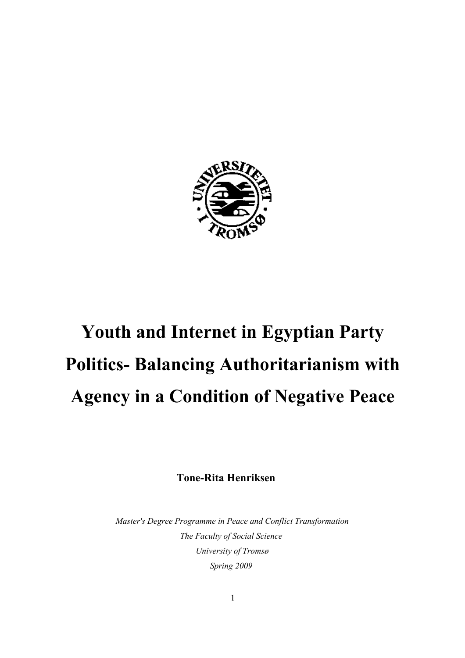

# **Youth and Internet in Egyptian Party Politics- Balancing Authoritarianism with Agency in a Condition of Negative Peace**

**Tone-Rita Henriksen**

*Master's Degree Programme in Peace and Conflict Transformation The Faculty of Social Science University of Tromsø Spring 2009*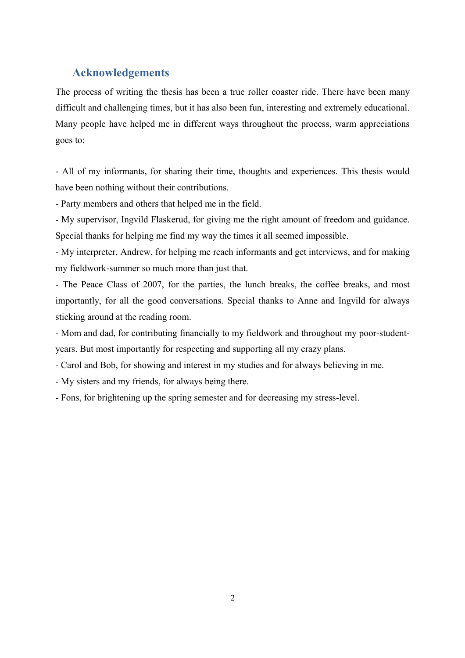# <span id="page-1-0"></span>**Acknowledgements**

The process of writing the thesis has been a true roller coaster ride. There have been many difficult and challenging times, but it has also been fun, interesting and extremely educational. Many people have helped me in different ways throughout the process, warm appreciations goes to:

- All of my informants, for sharing their time, thoughts and experiences. This thesis would have been nothing without their contributions.

- Party members and others that helped me in the field.

- My supervisor, Ingvild Flaskerud, for giving me the right amount of freedom and guidance. Special thanks for helping me find my way the times it all seemed impossible.

- My interpreter, Andrew, for helping me reach informants and get interviews, and for making my fieldwork-summer so much more than just that.

- The Peace Class of 2007, for the parties, the lunch breaks, the coffee breaks, and most importantly, for all the good conversations. Special thanks to Anne and Ingvild for always sticking around at the reading room.

- Mom and dad, for contributing financially to my fieldwork and throughout my poor-studentyears. But most importantly for respecting and supporting all my crazy plans.

- Carol and Bob, for showing and interest in my studies and for always believing in me.

- My sisters and my friends, for always being there.

- Fons, for brightening up the spring semester and for decreasing my stress-level.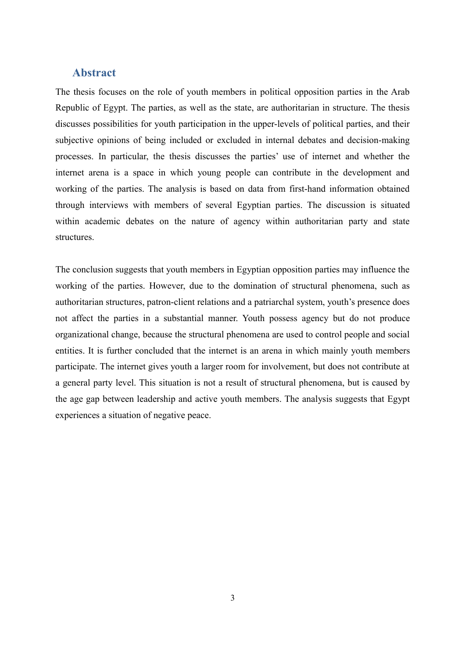# <span id="page-2-0"></span>**Abstract**

The thesis focuses on the role of youth members in political opposition parties in the Arab Republic of Egypt. The parties, as well as the state, are authoritarian in structure. The thesis discusses possibilities for youth participation in the upper-levels of political parties, and their subjective opinions of being included or excluded in internal debates and decision-making processes. In particular, the thesis discusses the parties' use of internet and whether the internet arena is a space in which young people can contribute in the development and working of the parties. The analysis is based on data from first-hand information obtained through interviews with members of several Egyptian parties. The discussion is situated within academic debates on the nature of agency within authoritarian party and state structures.

The conclusion suggests that youth members in Egyptian opposition parties may influence the working of the parties. However, due to the domination of structural phenomena, such as authoritarian structures, patron-client relations and a patriarchal system, youth's presence does not affect the parties in a substantial manner. Youth possess agency but do not produce organizational change, because the structural phenomena are used to control people and social entities. It is further concluded that the internet is an arena in which mainly youth members participate. The internet gives youth a larger room for involvement, but does not contribute at a general party level. This situation is not a result of structural phenomena, but is caused by the age gap between leadership and active youth members. The analysis suggests that Egypt experiences a situation of negative peace.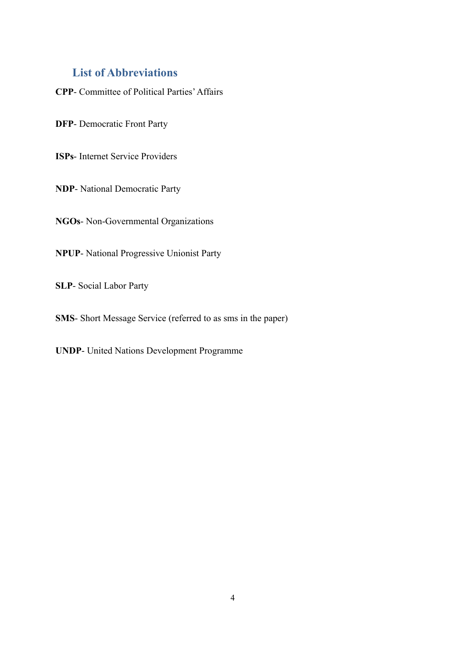# <span id="page-3-0"></span>**List of Abbreviations**

**CPP**- Committee of Political Parties' Affairs

**DFP**- Democratic Front Party

**ISPs**- Internet Service Providers

**NDP**- National Democratic Party

**NGOs**- Non-Governmental Organizations

**NPUP**- National Progressive Unionist Party

**SLP**- Social Labor Party

**SMS**- Short Message Service (referred to as sms in the paper)

**UNDP**- United Nations Development Programme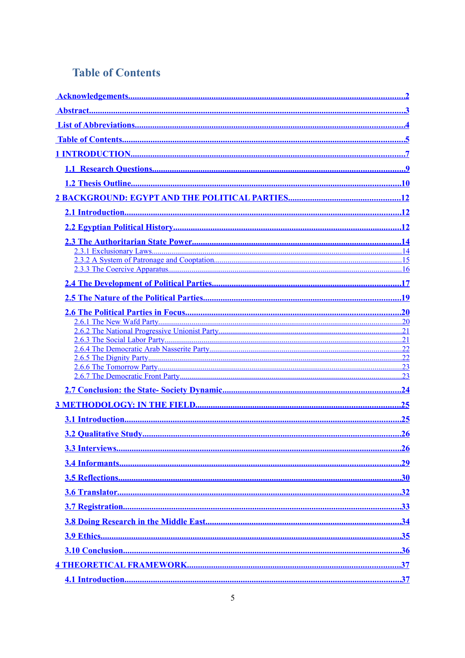# <span id="page-4-0"></span>**Table of Contents**

| .25 |
|-----|
|     |
|     |
|     |
|     |
|     |
|     |
|     |
|     |
|     |
|     |
|     |
|     |
|     |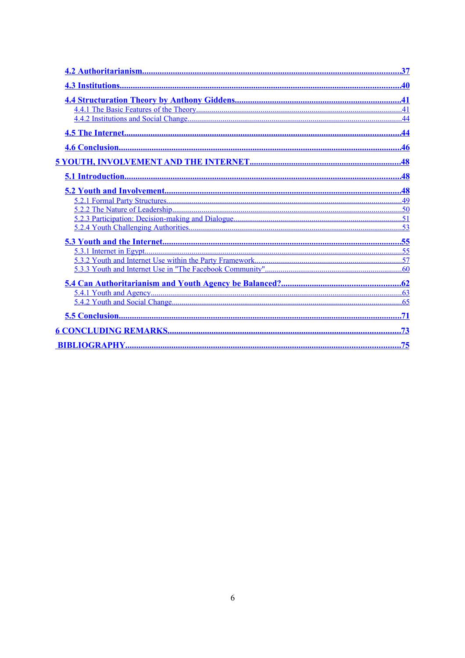| .44 |
|-----|
|     |
|     |
|     |
|     |
|     |
|     |
|     |
|     |
|     |
|     |
|     |
|     |
|     |
|     |
|     |
|     |
| .71 |
|     |
|     |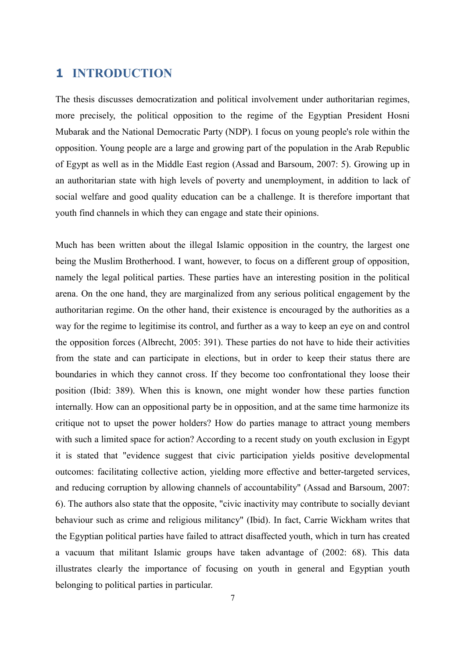# <span id="page-6-0"></span>**1 INTRODUCTION**

The thesis discusses democratization and political involvement under authoritarian regimes, more precisely, the political opposition to the regime of the Egyptian President Hosni Mubarak and the National Democratic Party (NDP). I focus on young people's role within the opposition. Young people are a large and growing part of the population in the Arab Republic of Egypt as well as in the Middle East region (Assad and Barsoum, 2007: 5). Growing up in an authoritarian state with high levels of poverty and unemployment, in addition to lack of social welfare and good quality education can be a challenge. It is therefore important that youth find channels in which they can engage and state their opinions.

Much has been written about the illegal Islamic opposition in the country, the largest one being the Muslim Brotherhood. I want, however, to focus on a different group of opposition, namely the legal political parties. These parties have an interesting position in the political arena. On the one hand, they are marginalized from any serious political engagement by the authoritarian regime. On the other hand, their existence is encouraged by the authorities as a way for the regime to legitimise its control, and further as a way to keep an eye on and control the opposition forces (Albrecht, 2005: 391). These parties do not have to hide their activities from the state and can participate in elections, but in order to keep their status there are boundaries in which they cannot cross. If they become too confrontational they loose their position (Ibid: 389). When this is known, one might wonder how these parties function internally. How can an oppositional party be in opposition, and at the same time harmonize its critique not to upset the power holders? How do parties manage to attract young members with such a limited space for action? According to a recent study on youth exclusion in Egypt it is stated that "evidence suggest that civic participation yields positive developmental outcomes: facilitating collective action, yielding more effective and better-targeted services, and reducing corruption by allowing channels of accountability" (Assad and Barsoum, 2007: 6). The authors also state that the opposite, "civic inactivity may contribute to socially deviant behaviour such as crime and religious militancy" (Ibid). In fact, Carrie Wickham writes that the Egyptian political parties have failed to attract disaffected youth, which in turn has created a vacuum that militant Islamic groups have taken advantage of (2002: 68). This data illustrates clearly the importance of focusing on youth in general and Egyptian youth belonging to political parties in particular.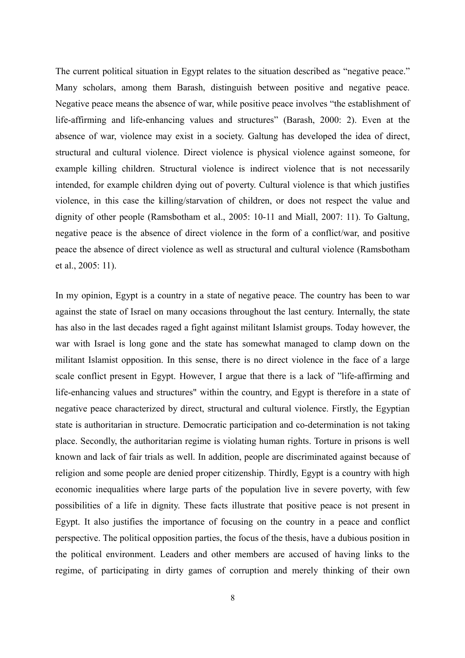The current political situation in Egypt relates to the situation described as "negative peace." Many scholars, among them Barash, distinguish between positive and negative peace. Negative peace means the absence of war, while positive peace involves "the establishment of life-affirming and life-enhancing values and structures" (Barash, 2000: 2). Even at the absence of war, violence may exist in a society. Galtung has developed the idea of direct, structural and cultural violence. Direct violence is physical violence against someone, for example killing children. Structural violence is indirect violence that is not necessarily intended, for example children dying out of poverty. Cultural violence is that which justifies violence, in this case the killing/starvation of children, or does not respect the value and dignity of other people (Ramsbotham et al., 2005: 10-11 and Miall, 2007: 11). To Galtung, negative peace is the absence of direct violence in the form of a conflict/war, and positive peace the absence of direct violence as well as structural and cultural violence (Ramsbotham et al., 2005: 11).

In my opinion, Egypt is a country in a state of negative peace. The country has been to war against the state of Israel on many occasions throughout the last century. Internally, the state has also in the last decades raged a fight against militant Islamist groups. Today however, the war with Israel is long gone and the state has somewhat managed to clamp down on the militant Islamist opposition. In this sense, there is no direct violence in the face of a large scale conflict present in Egypt. However, I argue that there is a lack of "life-affirming and life-enhancing values and structures" within the country, and Egypt is therefore in a state of negative peace characterized by direct, structural and cultural violence. Firstly, the Egyptian state is authoritarian in structure. Democratic participation and co-determination is not taking place. Secondly, the authoritarian regime is violating human rights. Torture in prisons is well known and lack of fair trials as well. In addition, people are discriminated against because of religion and some people are denied proper citizenship. Thirdly, Egypt is a country with high economic inequalities where large parts of the population live in severe poverty, with few possibilities of a life in dignity. These facts illustrate that positive peace is not present in Egypt. It also justifies the importance of focusing on the country in a peace and conflict perspective. The political opposition parties, the focus of the thesis, have a dubious position in the political environment. Leaders and other members are accused of having links to the regime, of participating in dirty games of corruption and merely thinking of their own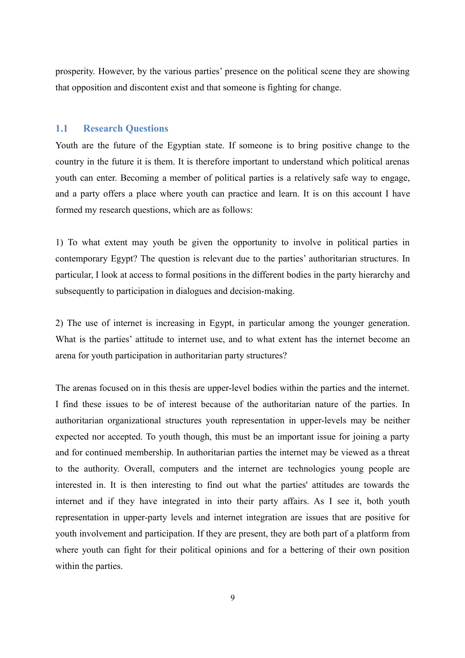prosperity. However, by the various parties' presence on the political scene they are showing that opposition and discontent exist and that someone is fighting for change.

#### <span id="page-8-0"></span>**1.1 Research Questions**

Youth are the future of the Egyptian state. If someone is to bring positive change to the country in the future it is them. It is therefore important to understand which political arenas youth can enter. Becoming a member of political parties is a relatively safe way to engage, and a party offers a place where youth can practice and learn. It is on this account I have formed my research questions, which are as follows:

1) To what extent may youth be given the opportunity to involve in political parties in contemporary Egypt? The question is relevant due to the parties' authoritarian structures. In particular, I look at access to formal positions in the different bodies in the party hierarchy and subsequently to participation in dialogues and decision-making.

2) The use of internet is increasing in Egypt, in particular among the younger generation. What is the parties' attitude to internet use, and to what extent has the internet become an arena for youth participation in authoritarian party structures?

The arenas focused on in this thesis are upper-level bodies within the parties and the internet. I find these issues to be of interest because of the authoritarian nature of the parties. In authoritarian organizational structures youth representation in upper-levels may be neither expected nor accepted. To youth though, this must be an important issue for joining a party and for continued membership. In authoritarian parties the internet may be viewed as a threat to the authority. Overall, computers and the internet are technologies young people are interested in. It is then interesting to find out what the parties' attitudes are towards the internet and if they have integrated in into their party affairs. As I see it, both youth representation in upper-party levels and internet integration are issues that are positive for youth involvement and participation. If they are present, they are both part of a platform from where youth can fight for their political opinions and for a bettering of their own position within the parties.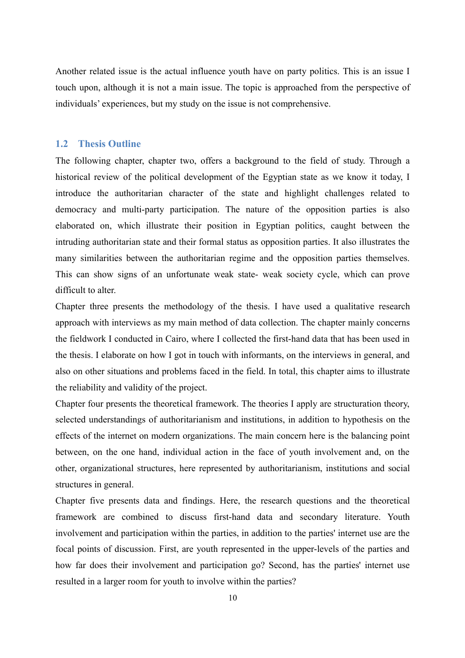Another related issue is the actual influence youth have on party politics. This is an issue I touch upon, although it is not a main issue. The topic is approached from the perspective of individuals' experiences, but my study on the issue is not comprehensive.

# <span id="page-9-0"></span>**1.2 Thesis Outline**

The following chapter, chapter two, offers a background to the field of study. Through a historical review of the political development of the Egyptian state as we know it today, I introduce the authoritarian character of the state and highlight challenges related to democracy and multi-party participation. The nature of the opposition parties is also elaborated on, which illustrate their position in Egyptian politics, caught between the intruding authoritarian state and their formal status as opposition parties. It also illustrates the many similarities between the authoritarian regime and the opposition parties themselves. This can show signs of an unfortunate weak state- weak society cycle, which can prove difficult to alter.

Chapter three presents the methodology of the thesis. I have used a qualitative research approach with interviews as my main method of data collection. The chapter mainly concerns the fieldwork I conducted in Cairo, where I collected the first-hand data that has been used in the thesis. I elaborate on how I got in touch with informants, on the interviews in general, and also on other situations and problems faced in the field. In total, this chapter aims to illustrate the reliability and validity of the project.

Chapter four presents the theoretical framework. The theories I apply are structuration theory, selected understandings of authoritarianism and institutions, in addition to hypothesis on the effects of the internet on modern organizations. The main concern here is the balancing point between, on the one hand, individual action in the face of youth involvement and, on the other, organizational structures, here represented by authoritarianism, institutions and social structures in general.

Chapter five presents data and findings. Here, the research questions and the theoretical framework are combined to discuss first-hand data and secondary literature. Youth involvement and participation within the parties, in addition to the parties' internet use are the focal points of discussion. First, are youth represented in the upper-levels of the parties and how far does their involvement and participation go? Second, has the parties' internet use resulted in a larger room for youth to involve within the parties?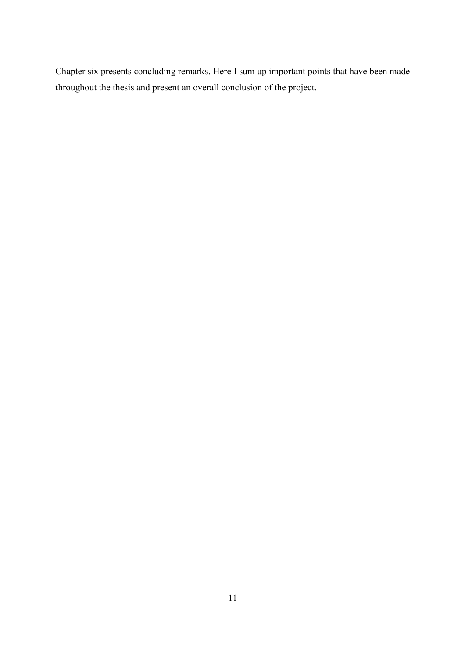Chapter six presents concluding remarks. Here I sum up important points that have been made throughout the thesis and present an overall conclusion of the project.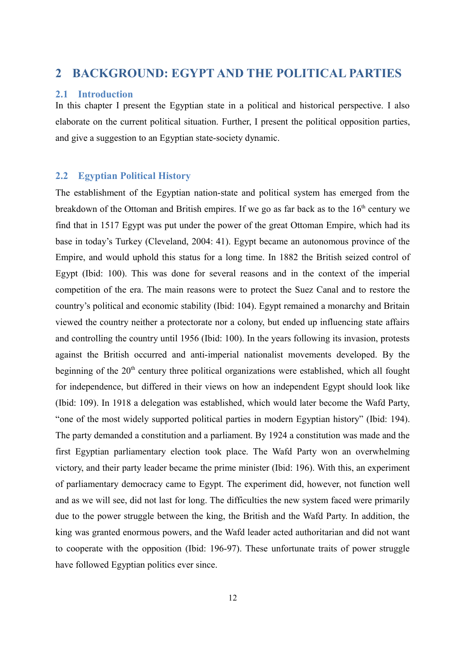# <span id="page-11-2"></span>**2 BACKGROUND: EGYPT AND THE POLITICAL PARTIES**

#### <span id="page-11-1"></span>**2.1 Introduction**

In this chapter I present the Egyptian state in a political and historical perspective. I also elaborate on the current political situation. Further, I present the political opposition parties, and give a suggestion to an Egyptian state-society dynamic.

# <span id="page-11-0"></span>**2.2 Egyptian Political History**

The establishment of the Egyptian nation-state and political system has emerged from the breakdown of the Ottoman and British empires. If we go as far back as to the  $16<sup>th</sup>$  century we find that in 1517 Egypt was put under the power of the great Ottoman Empire, which had its base in today's Turkey (Cleveland, 2004: 41). Egypt became an autonomous province of the Empire, and would uphold this status for a long time. In 1882 the British seized control of Egypt (Ibid: 100). This was done for several reasons and in the context of the imperial competition of the era. The main reasons were to protect the Suez Canal and to restore the country's political and economic stability (Ibid: 104). Egypt remained a monarchy and Britain viewed the country neither a protectorate nor a colony, but ended up influencing state affairs and controlling the country until 1956 (Ibid: 100). In the years following its invasion, protests against the British occurred and anti-imperial nationalist movements developed. By the beginning of the 20<sup>th</sup> century three political organizations were established, which all fought for independence, but differed in their views on how an independent Egypt should look like (Ibid: 109). In 1918 a delegation was established, which would later become the Wafd Party, "one of the most widely supported political parties in modern Egyptian history" (Ibid: 194). The party demanded a constitution and a parliament. By 1924 a constitution was made and the first Egyptian parliamentary election took place. The Wafd Party won an overwhelming victory, and their party leader became the prime minister (Ibid: 196). With this, an experiment of parliamentary democracy came to Egypt. The experiment did, however, not function well and as we will see, did not last for long. The difficulties the new system faced were primarily due to the power struggle between the king, the British and the Wafd Party. In addition, the king was granted enormous powers, and the Wafd leader acted authoritarian and did not want to cooperate with the opposition (Ibid: 196-97). These unfortunate traits of power struggle have followed Egyptian politics ever since.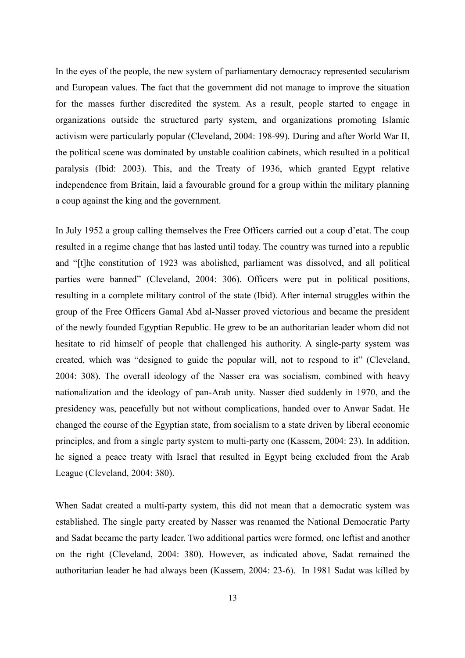In the eyes of the people, the new system of parliamentary democracy represented secularism and European values. The fact that the government did not manage to improve the situation for the masses further discredited the system. As a result, people started to engage in organizations outside the structured party system, and organizations promoting Islamic activism were particularly popular (Cleveland, 2004: 198-99). During and after World War II, the political scene was dominated by unstable coalition cabinets, which resulted in a political paralysis (Ibid: 2003). This, and the Treaty of 1936, which granted Egypt relative independence from Britain, laid a favourable ground for a group within the military planning a coup against the king and the government.

In July 1952 a group calling themselves the Free Officers carried out a coup d'etat. The coup resulted in a regime change that has lasted until today. The country was turned into a republic and "[t]he constitution of 1923 was abolished, parliament was dissolved, and all political parties were banned" (Cleveland, 2004: 306). Officers were put in political positions, resulting in a complete military control of the state (Ibid). After internal struggles within the group of the Free Officers Gamal Abd al-Nasser proved victorious and became the president of the newly founded Egyptian Republic. He grew to be an authoritarian leader whom did not hesitate to rid himself of people that challenged his authority. A single-party system was created, which was "designed to guide the popular will, not to respond to it" (Cleveland, 2004: 308). The overall ideology of the Nasser era was socialism, combined with heavy nationalization and the ideology of pan-Arab unity. Nasser died suddenly in 1970, and the presidency was, peacefully but not without complications, handed over to Anwar Sadat. He changed the course of the Egyptian state, from socialism to a state driven by liberal economic principles, and from a single party system to multi-party one (Kassem, 2004: 23). In addition, he signed a peace treaty with Israel that resulted in Egypt being excluded from the Arab League (Cleveland, 2004: 380).

When Sadat created a multi-party system, this did not mean that a democratic system was established. The single party created by Nasser was renamed the National Democratic Party and Sadat became the party leader. Two additional parties were formed, one leftist and another on the right (Cleveland, 2004: 380). However, as indicated above, Sadat remained the authoritarian leader he had always been (Kassem, 2004: 23-6). In 1981 Sadat was killed by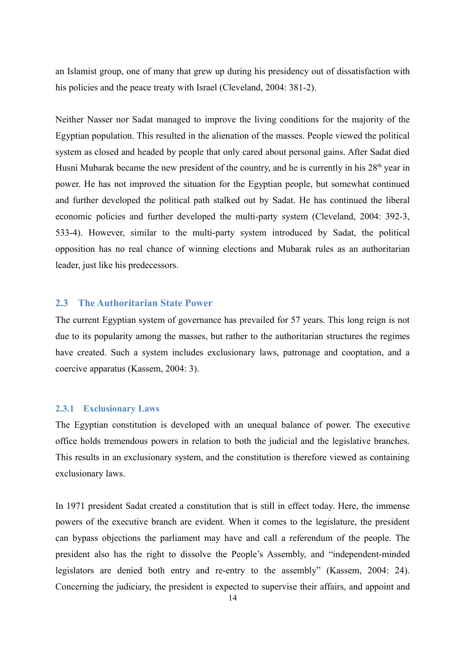an Islamist group, one of many that grew up during his presidency out of dissatisfaction with his policies and the peace treaty with Israel (Cleveland, 2004: 381-2).

Neither Nasser nor Sadat managed to improve the living conditions for the majority of the Egyptian population. This resulted in the alienation of the masses. People viewed the political system as closed and headed by people that only cared about personal gains. After Sadat died Husni Mubarak became the new president of the country, and he is currently in his  $28<sup>th</sup>$  year in power. He has not improved the situation for the Egyptian people, but somewhat continued and further developed the political path stalked out by Sadat. He has continued the liberal economic policies and further developed the multi-party system (Cleveland, 2004: 392-3, 533-4). However, similar to the multi-party system introduced by Sadat, the political opposition has no real chance of winning elections and Mubarak rules as an authoritarian leader, just like his predecessors.

# <span id="page-13-1"></span>**2.3 The Authoritarian State Power**

The current Egyptian system of governance has prevailed for 57 years. This long reign is not due to its popularity among the masses, but rather to the authoritarian structures the regimes have created. Such a system includes exclusionary laws, patronage and cooptation, and a coercive apparatus (Kassem, 2004: 3).

## <span id="page-13-0"></span>**2.3.1 Exclusionary Laws**

The Egyptian constitution is developed with an unequal balance of power. The executive office holds tremendous powers in relation to both the judicial and the legislative branches. This results in an exclusionary system, and the constitution is therefore viewed as containing exclusionary laws.

In 1971 president Sadat created a constitution that is still in effect today. Here, the immense powers of the executive branch are evident. When it comes to the legislature, the president can bypass objections the parliament may have and call a referendum of the people. The president also has the right to dissolve the People's Assembly, and "independent-minded legislators are denied both entry and re-entry to the assembly" (Kassem, 2004: 24). Concerning the judiciary, the president is expected to supervise their affairs, and appoint and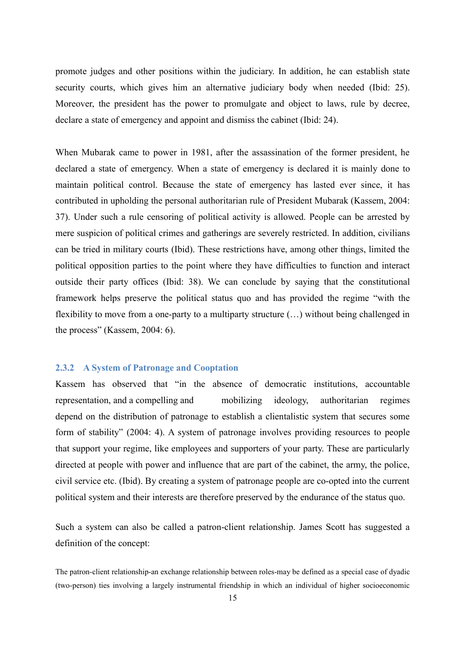promote judges and other positions within the judiciary. In addition, he can establish state security courts, which gives him an alternative judiciary body when needed (Ibid: 25). Moreover, the president has the power to promulgate and object to laws, rule by decree, declare a state of emergency and appoint and dismiss the cabinet (Ibid: 24).

When Mubarak came to power in 1981, after the assassination of the former president, he declared a state of emergency. When a state of emergency is declared it is mainly done to maintain political control. Because the state of emergency has lasted ever since, it has contributed in upholding the personal authoritarian rule of President Mubarak (Kassem, 2004: 37). Under such a rule censoring of political activity is allowed. People can be arrested by mere suspicion of political crimes and gatherings are severely restricted. In addition, civilians can be tried in military courts (Ibid). These restrictions have, among other things, limited the political opposition parties to the point where they have difficulties to function and interact outside their party offices (Ibid: 38). We can conclude by saying that the constitutional framework helps preserve the political status quo and has provided the regime "with the flexibility to move from a one-party to a multiparty structure (…) without being challenged in the process" (Kassem, 2004: 6).

#### <span id="page-14-0"></span>**2.3.2 A System of Patronage and Cooptation**

Kassem has observed that "in the absence of democratic institutions, accountable representation, and a compelling and mobilizing ideology, authoritarian regimes depend on the distribution of patronage to establish a clientalistic system that secures some form of stability" (2004: 4). A system of patronage involves providing resources to people that support your regime, like employees and supporters of your party. These are particularly directed at people with power and influence that are part of the cabinet, the army, the police, civil service etc. (Ibid). By creating a system of patronage people are co-opted into the current political system and their interests are therefore preserved by the endurance of the status quo.

Such a system can also be called a patron-client relationship. James Scott has suggested a definition of the concept:

The patron-client relationship-an exchange relationship between roles-may be defined as a special case of dyadic (two-person) ties involving a largely instrumental friendship in which an individual of higher socioeconomic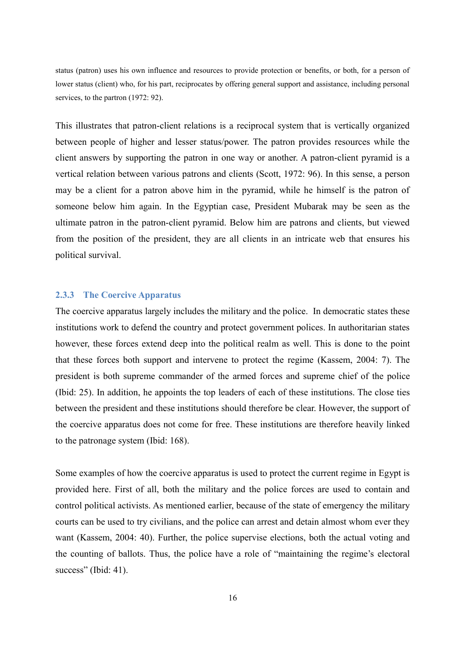status (patron) uses his own influence and resources to provide protection or benefits, or both, for a person of lower status (client) who, for his part, reciprocates by offering general support and assistance, including personal services, to the partron (1972: 92).

This illustrates that patron-client relations is a reciprocal system that is vertically organized between people of higher and lesser status/power. The patron provides resources while the client answers by supporting the patron in one way or another. A patron-client pyramid is a vertical relation between various patrons and clients (Scott, 1972: 96). In this sense, a person may be a client for a patron above him in the pyramid, while he himself is the patron of someone below him again. In the Egyptian case, President Mubarak may be seen as the ultimate patron in the patron-client pyramid. Below him are patrons and clients, but viewed from the position of the president, they are all clients in an intricate web that ensures his political survival.

#### <span id="page-15-0"></span>**2.3.3 The Coercive Apparatus**

The coercive apparatus largely includes the military and the police. In democratic states these institutions work to defend the country and protect government polices. In authoritarian states however, these forces extend deep into the political realm as well. This is done to the point that these forces both support and intervene to protect the regime (Kassem, 2004: 7). The president is both supreme commander of the armed forces and supreme chief of the police (Ibid: 25). In addition, he appoints the top leaders of each of these institutions. The close ties between the president and these institutions should therefore be clear. However, the support of the coercive apparatus does not come for free. These institutions are therefore heavily linked to the patronage system (Ibid: 168).

Some examples of how the coercive apparatus is used to protect the current regime in Egypt is provided here. First of all, both the military and the police forces are used to contain and control political activists. As mentioned earlier, because of the state of emergency the military courts can be used to try civilians, and the police can arrest and detain almost whom ever they want (Kassem, 2004: 40). Further, the police supervise elections, both the actual voting and the counting of ballots. Thus, the police have a role of "maintaining the regime's electoral success" (Ibid: 41).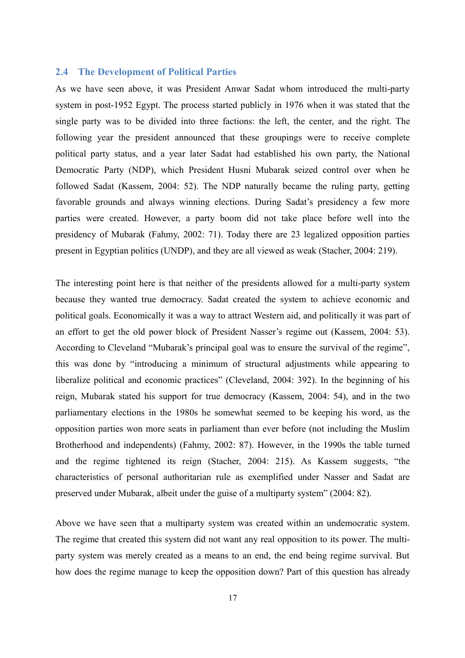## <span id="page-16-0"></span>**2.4 The Development of Political Parties**

As we have seen above, it was President Anwar Sadat whom introduced the multi-party system in post-1952 Egypt. The process started publicly in 1976 when it was stated that the single party was to be divided into three factions: the left, the center, and the right. The following year the president announced that these groupings were to receive complete political party status, and a year later Sadat had established his own party, the National Democratic Party (NDP), which President Husni Mubarak seized control over when he followed Sadat (Kassem, 2004: 52). The NDP naturally became the ruling party, getting favorable grounds and always winning elections. During Sadat's presidency a few more parties were created. However, a party boom did not take place before well into the presidency of Mubarak (Fahmy, 2002: 71). Today there are 23 legalized opposition parties present in Egyptian politics (UNDP), and they are all viewed as weak (Stacher, 2004: 219).

The interesting point here is that neither of the presidents allowed for a multi-party system because they wanted true democracy. Sadat created the system to achieve economic and political goals. Economically it was a way to attract Western aid, and politically it was part of an effort to get the old power block of President Nasser's regime out (Kassem, 2004: 53). According to Cleveland "Mubarak's principal goal was to ensure the survival of the regime", this was done by "introducing a minimum of structural adjustments while appearing to liberalize political and economic practices" (Cleveland, 2004: 392). In the beginning of his reign, Mubarak stated his support for true democracy (Kassem, 2004: 54), and in the two parliamentary elections in the 1980s he somewhat seemed to be keeping his word, as the opposition parties won more seats in parliament than ever before (not including the Muslim Brotherhood and independents) (Fahmy, 2002: 87). However, in the 1990s the table turned and the regime tightened its reign (Stacher, 2004: 215). As Kassem suggests, "the characteristics of personal authoritarian rule as exemplified under Nasser and Sadat are preserved under Mubarak, albeit under the guise of a multiparty system" (2004: 82).

Above we have seen that a multiparty system was created within an undemocratic system. The regime that created this system did not want any real opposition to its power. The multiparty system was merely created as a means to an end, the end being regime survival. But how does the regime manage to keep the opposition down? Part of this question has already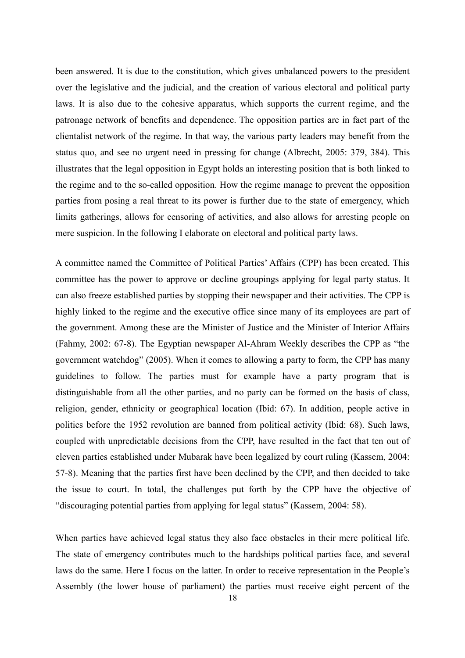been answered. It is due to the constitution, which gives unbalanced powers to the president over the legislative and the judicial, and the creation of various electoral and political party laws. It is also due to the cohesive apparatus, which supports the current regime, and the patronage network of benefits and dependence. The opposition parties are in fact part of the clientalist network of the regime. In that way, the various party leaders may benefit from the status quo, and see no urgent need in pressing for change (Albrecht, 2005: 379, 384). This illustrates that the legal opposition in Egypt holds an interesting position that is both linked to the regime and to the so-called opposition. How the regime manage to prevent the opposition parties from posing a real threat to its power is further due to the state of emergency, which limits gatherings, allows for censoring of activities, and also allows for arresting people on mere suspicion. In the following I elaborate on electoral and political party laws.

A committee named the Committee of Political Parties' Affairs (CPP) has been created. This committee has the power to approve or decline groupings applying for legal party status. It can also freeze established parties by stopping their newspaper and their activities. The CPP is highly linked to the regime and the executive office since many of its employees are part of the government. Among these are the Minister of Justice and the Minister of Interior Affairs (Fahmy, 2002: 67-8). The Egyptian newspaper Al-Ahram Weekly describes the CPP as "the government watchdog" (2005). When it comes to allowing a party to form, the CPP has many guidelines to follow. The parties must for example have a party program that is distinguishable from all the other parties, and no party can be formed on the basis of class, religion, gender, ethnicity or geographical location (Ibid: 67). In addition, people active in politics before the 1952 revolution are banned from political activity (Ibid: 68). Such laws, coupled with unpredictable decisions from the CPP, have resulted in the fact that ten out of eleven parties established under Mubarak have been legalized by court ruling (Kassem, 2004: 57-8). Meaning that the parties first have been declined by the CPP, and then decided to take the issue to court. In total, the challenges put forth by the CPP have the objective of "discouraging potential parties from applying for legal status" (Kassem, 2004: 58).

When parties have achieved legal status they also face obstacles in their mere political life. The state of emergency contributes much to the hardships political parties face, and several laws do the same. Here I focus on the latter. In order to receive representation in the People's Assembly (the lower house of parliament) the parties must receive eight percent of the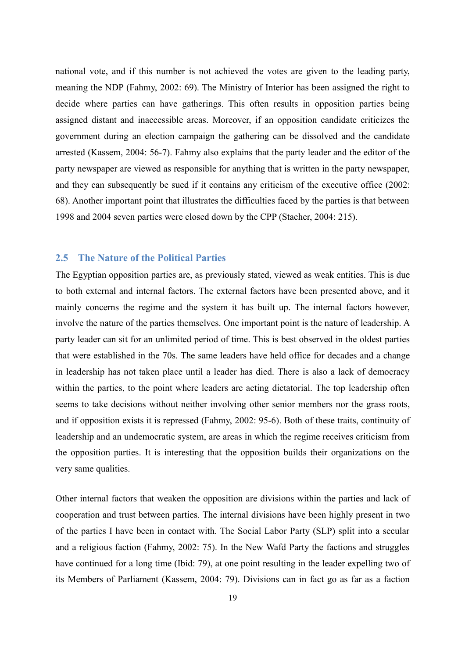national vote, and if this number is not achieved the votes are given to the leading party, meaning the NDP (Fahmy, 2002: 69). The Ministry of Interior has been assigned the right to decide where parties can have gatherings. This often results in opposition parties being assigned distant and inaccessible areas. Moreover, if an opposition candidate criticizes the government during an election campaign the gathering can be dissolved and the candidate arrested (Kassem, 2004: 56-7). Fahmy also explains that the party leader and the editor of the party newspaper are viewed as responsible for anything that is written in the party newspaper, and they can subsequently be sued if it contains any criticism of the executive office (2002: 68). Another important point that illustrates the difficulties faced by the parties is that between 1998 and 2004 seven parties were closed down by the CPP (Stacher, 2004: 215).

#### <span id="page-18-0"></span>**2.5 The Nature of the Political Parties**

The Egyptian opposition parties are, as previously stated, viewed as weak entities. This is due to both external and internal factors. The external factors have been presented above, and it mainly concerns the regime and the system it has built up. The internal factors however, involve the nature of the parties themselves. One important point is the nature of leadership. A party leader can sit for an unlimited period of time. This is best observed in the oldest parties that were established in the 70s. The same leaders have held office for decades and a change in leadership has not taken place until a leader has died. There is also a lack of democracy within the parties, to the point where leaders are acting dictatorial. The top leadership often seems to take decisions without neither involving other senior members nor the grass roots, and if opposition exists it is repressed (Fahmy, 2002: 95-6). Both of these traits, continuity of leadership and an undemocratic system, are areas in which the regime receives criticism from the opposition parties. It is interesting that the opposition builds their organizations on the very same qualities.

Other internal factors that weaken the opposition are divisions within the parties and lack of cooperation and trust between parties. The internal divisions have been highly present in two of the parties I have been in contact with. The Social Labor Party (SLP) split into a secular and a religious faction (Fahmy, 2002: 75). In the New Wafd Party the factions and struggles have continued for a long time (Ibid: 79), at one point resulting in the leader expelling two of its Members of Parliament (Kassem, 2004: 79). Divisions can in fact go as far as a faction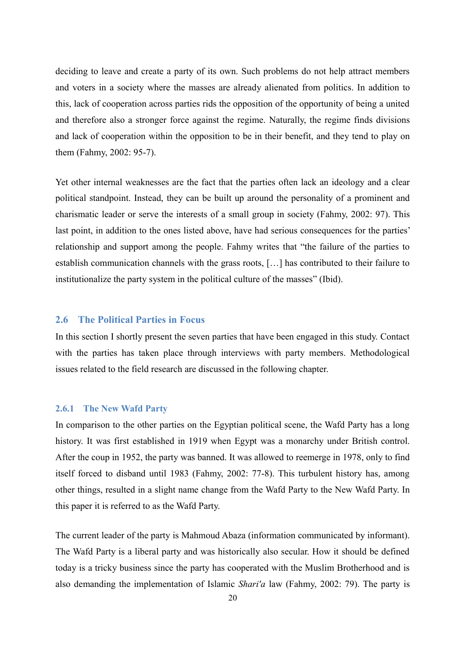deciding to leave and create a party of its own. Such problems do not help attract members and voters in a society where the masses are already alienated from politics. In addition to this, lack of cooperation across parties rids the opposition of the opportunity of being a united and therefore also a stronger force against the regime. Naturally, the regime finds divisions and lack of cooperation within the opposition to be in their benefit, and they tend to play on them (Fahmy, 2002: 95-7).

Yet other internal weaknesses are the fact that the parties often lack an ideology and a clear political standpoint. Instead, they can be built up around the personality of a prominent and charismatic leader or serve the interests of a small group in society (Fahmy, 2002: 97). This last point, in addition to the ones listed above, have had serious consequences for the parties' relationship and support among the people. Fahmy writes that "the failure of the parties to establish communication channels with the grass roots, […] has contributed to their failure to institutionalize the party system in the political culture of the masses" (Ibid).

#### <span id="page-19-0"></span>**2.6 The Political Parties in Focus**

In this section I shortly present the seven parties that have been engaged in this study. Contact with the parties has taken place through interviews with party members. Methodological issues related to the field research are discussed in the following chapter.

## <span id="page-19-1"></span>**2.6.1 The New Wafd Party**

In comparison to the other parties on the Egyptian political scene, the Wafd Party has a long history. It was first established in 1919 when Egypt was a monarchy under British control. After the coup in 1952, the party was banned. It was allowed to reemerge in 1978, only to find itself forced to disband until 1983 (Fahmy, 2002: 77-8). This turbulent history has, among other things, resulted in a slight name change from the Wafd Party to the New Wafd Party. In this paper it is referred to as the Wafd Party.

The current leader of the party is Mahmoud Abaza (information communicated by informant). The Wafd Party is a liberal party and was historically also secular. How it should be defined today is a tricky business since the party has cooperated with the Muslim Brotherhood and is also demanding the implementation of Islamic *Shari'a* law (Fahmy, 2002: 79). The party is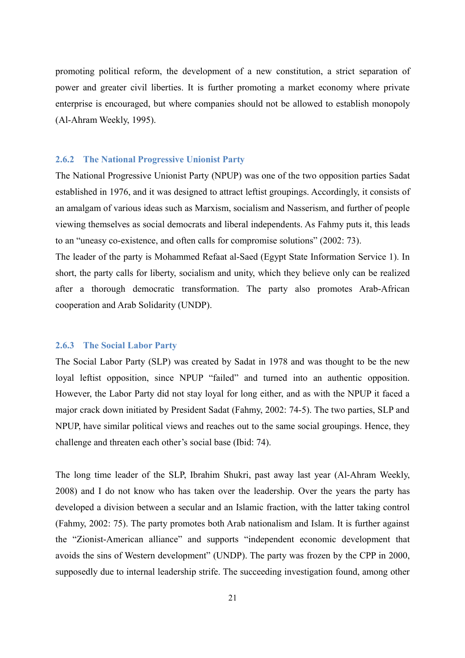promoting political reform, the development of a new constitution, a strict separation of power and greater civil liberties. It is further promoting a market economy where private enterprise is encouraged, but where companies should not be allowed to establish monopoly (Al-Ahram Weekly, 1995).

#### <span id="page-20-0"></span>**2.6.2 The National Progressive Unionist Party**

The National Progressive Unionist Party (NPUP) was one of the two opposition parties Sadat established in 1976, and it was designed to attract leftist groupings. Accordingly, it consists of an amalgam of various ideas such as Marxism, socialism and Nasserism, and further of people viewing themselves as social democrats and liberal independents. As Fahmy puts it, this leads to an "uneasy co-existence, and often calls for compromise solutions" (2002: 73).

The leader of the party is Mohammed Refaat al-Saed (Egypt State Information Service 1). In short, the party calls for liberty, socialism and unity, which they believe only can be realized after a thorough democratic transformation. The party also promotes Arab-African cooperation and Arab Solidarity (UNDP).

#### <span id="page-20-1"></span>**2.6.3 The Social Labor Party**

The Social Labor Party (SLP) was created by Sadat in 1978 and was thought to be the new loyal leftist opposition, since NPUP "failed" and turned into an authentic opposition. However, the Labor Party did not stay loyal for long either, and as with the NPUP it faced a major crack down initiated by President Sadat (Fahmy, 2002: 74-5). The two parties, SLP and NPUP, have similar political views and reaches out to the same social groupings. Hence, they challenge and threaten each other's social base (Ibid: 74).

The long time leader of the SLP, Ibrahim Shukri, past away last year (Al-Ahram Weekly, 2008) and I do not know who has taken over the leadership. Over the years the party has developed a division between a secular and an Islamic fraction, with the latter taking control (Fahmy, 2002: 75). The party promotes both Arab nationalism and Islam. It is further against the "Zionist-American alliance" and supports "independent economic development that avoids the sins of Western development" (UNDP). The party was frozen by the CPP in 2000, supposedly due to internal leadership strife. The succeeding investigation found, among other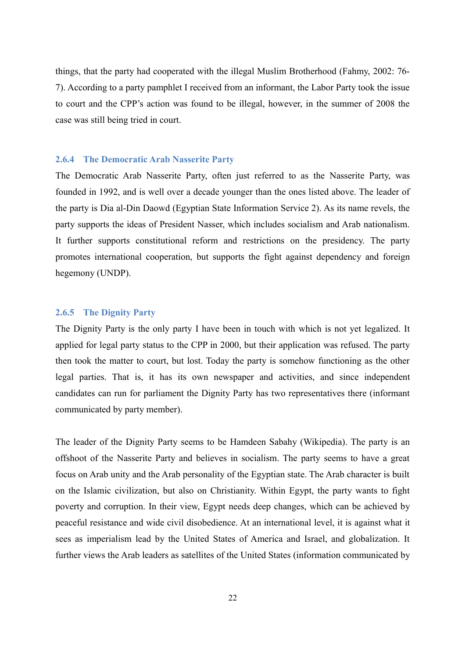things, that the party had cooperated with the illegal Muslim Brotherhood (Fahmy, 2002: 76- 7). According to a party pamphlet I received from an informant, the Labor Party took the issue to court and the CPP's action was found to be illegal, however, in the summer of 2008 the case was still being tried in court.

#### <span id="page-21-1"></span>**2.6.4 The Democratic Arab Nasserite Party**

The Democratic Arab Nasserite Party, often just referred to as the Nasserite Party, was founded in 1992, and is well over a decade younger than the ones listed above. The leader of the party is Dia al-Din Daowd (Egyptian State Information Service 2). As its name revels, the party supports the ideas of President Nasser, which includes socialism and Arab nationalism. It further supports constitutional reform and restrictions on the presidency. The party promotes international cooperation, but supports the fight against dependency and foreign hegemony (UNDP).

#### <span id="page-21-0"></span>**2.6.5 The Dignity Party**

The Dignity Party is the only party I have been in touch with which is not yet legalized. It applied for legal party status to the CPP in 2000, but their application was refused. The party then took the matter to court, but lost. Today the party is somehow functioning as the other legal parties. That is, it has its own newspaper and activities, and since independent candidates can run for parliament the Dignity Party has two representatives there (informant communicated by party member).

The leader of the Dignity Party seems to be Hamdeen Sabahy (Wikipedia). The party is an offshoot of the Nasserite Party and believes in socialism. The party seems to have a great focus on Arab unity and the Arab personality of the Egyptian state. The Arab character is built on the Islamic civilization, but also on Christianity. Within Egypt, the party wants to fight poverty and corruption. In their view, Egypt needs deep changes, which can be achieved by peaceful resistance and wide civil disobedience. At an international level, it is against what it sees as imperialism lead by the United States of America and Israel, and globalization. It further views the Arab leaders as satellites of the United States (information communicated by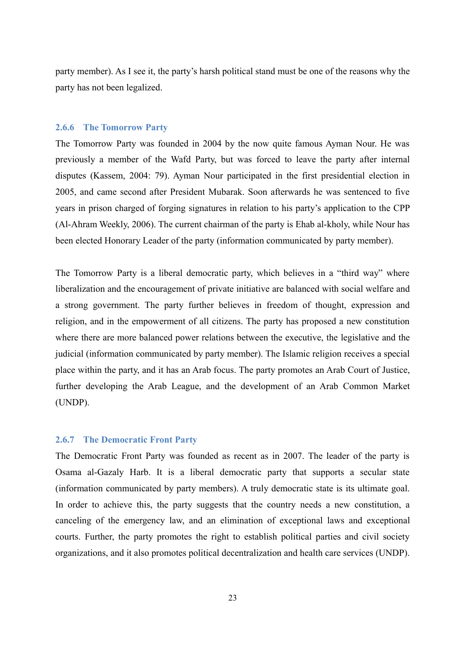party member). As I see it, the party's harsh political stand must be one of the reasons why the party has not been legalized.

#### <span id="page-22-1"></span>**2.6.6 The Tomorrow Party**

The Tomorrow Party was founded in 2004 by the now quite famous Ayman Nour. He was previously a member of the Wafd Party, but was forced to leave the party after internal disputes (Kassem, 2004: 79). Ayman Nour participated in the first presidential election in 2005, and came second after President Mubarak. Soon afterwards he was sentenced to five years in prison charged of forging signatures in relation to his party's application to the CPP (Al-Ahram Weekly, 2006). The current chairman of the party is Ehab al-kholy, while Nour has been elected Honorary Leader of the party (information communicated by party member).

The Tomorrow Party is a liberal democratic party, which believes in a "third way" where liberalization and the encouragement of private initiative are balanced with social welfare and a strong government. The party further believes in freedom of thought, expression and religion, and in the empowerment of all citizens. The party has proposed a new constitution where there are more balanced power relations between the executive, the legislative and the judicial (information communicated by party member). The Islamic religion receives a special place within the party, and it has an Arab focus. The party promotes an Arab Court of Justice, further developing the Arab League, and the development of an Arab Common Market (UNDP).

## <span id="page-22-0"></span>**2.6.7 The Democratic Front Party**

The Democratic Front Party was founded as recent as in 2007. The leader of the party is Osama al-Gazaly Harb. It is a liberal democratic party that supports a secular state (information communicated by party members). A truly democratic state is its ultimate goal. In order to achieve this, the party suggests that the country needs a new constitution, a canceling of the emergency law, and an elimination of exceptional laws and exceptional courts. Further, the party promotes the right to establish political parties and civil society organizations, and it also promotes political decentralization and health care services (UNDP).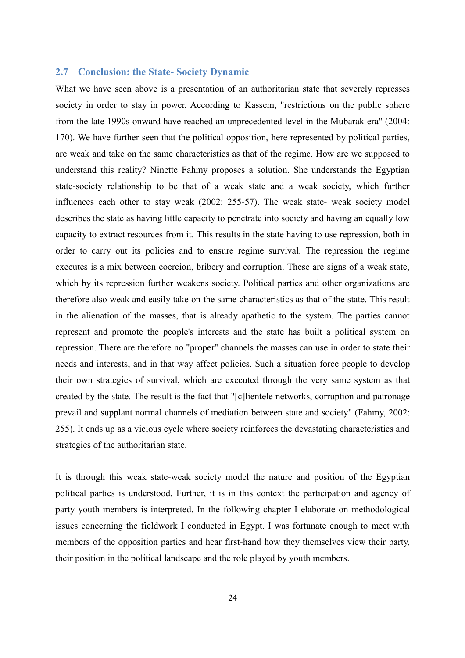## <span id="page-23-0"></span>**2.7 Conclusion: the State- Society Dynamic**

What we have seen above is a presentation of an authoritarian state that severely represses society in order to stay in power. According to Kassem, "restrictions on the public sphere from the late 1990s onward have reached an unprecedented level in the Mubarak era" (2004: 170). We have further seen that the political opposition, here represented by political parties, are weak and take on the same characteristics as that of the regime. How are we supposed to understand this reality? Ninette Fahmy proposes a solution. She understands the Egyptian state-society relationship to be that of a weak state and a weak society, which further influences each other to stay weak (2002: 255-57). The weak state- weak society model describes the state as having little capacity to penetrate into society and having an equally low capacity to extract resources from it. This results in the state having to use repression, both in order to carry out its policies and to ensure regime survival. The repression the regime executes is a mix between coercion, bribery and corruption. These are signs of a weak state, which by its repression further weakens society. Political parties and other organizations are therefore also weak and easily take on the same characteristics as that of the state. This result in the alienation of the masses, that is already apathetic to the system. The parties cannot represent and promote the people's interests and the state has built a political system on repression. There are therefore no "proper" channels the masses can use in order to state their needs and interests, and in that way affect policies. Such a situation force people to develop their own strategies of survival, which are executed through the very same system as that created by the state. The result is the fact that "[c]lientele networks, corruption and patronage prevail and supplant normal channels of mediation between state and society" (Fahmy, 2002: 255). It ends up as a vicious cycle where society reinforces the devastating characteristics and strategies of the authoritarian state.

It is through this weak state-weak society model the nature and position of the Egyptian political parties is understood. Further, it is in this context the participation and agency of party youth members is interpreted. In the following chapter I elaborate on methodological issues concerning the fieldwork I conducted in Egypt. I was fortunate enough to meet with members of the opposition parties and hear first-hand how they themselves view their party, their position in the political landscape and the role played by youth members.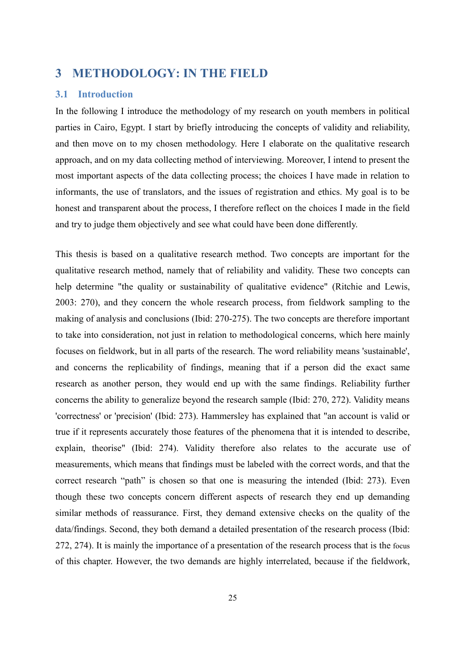# <span id="page-24-1"></span>**3 METHODOLOGY: IN THE FIELD**

## <span id="page-24-0"></span>**3.1 Introduction**

In the following I introduce the methodology of my research on youth members in political parties in Cairo, Egypt. I start by briefly introducing the concepts of validity and reliability, and then move on to my chosen methodology. Here I elaborate on the qualitative research approach, and on my data collecting method of interviewing. Moreover, I intend to present the most important aspects of the data collecting process; the choices I have made in relation to informants, the use of translators, and the issues of registration and ethics. My goal is to be honest and transparent about the process, I therefore reflect on the choices I made in the field and try to judge them objectively and see what could have been done differently.

This thesis is based on a qualitative research method. Two concepts are important for the qualitative research method, namely that of reliability and validity. These two concepts can help determine "the quality or sustainability of qualitative evidence" (Ritchie and Lewis, 2003: 270), and they concern the whole research process, from fieldwork sampling to the making of analysis and conclusions (Ibid: 270-275). The two concepts are therefore important to take into consideration, not just in relation to methodological concerns, which here mainly focuses on fieldwork, but in all parts of the research. The word reliability means 'sustainable', and concerns the replicability of findings, meaning that if a person did the exact same research as another person, they would end up with the same findings. Reliability further concerns the ability to generalize beyond the research sample (Ibid: 270, 272). Validity means 'correctness' or 'precision' (Ibid: 273). Hammersley has explained that "an account is valid or true if it represents accurately those features of the phenomena that it is intended to describe, explain, theorise" (Ibid: 274). Validity therefore also relates to the accurate use of measurements, which means that findings must be labeled with the correct words, and that the correct research "path" is chosen so that one is measuring the intended (Ibid: 273). Even though these two concepts concern different aspects of research they end up demanding similar methods of reassurance. First, they demand extensive checks on the quality of the data/findings. Second, they both demand a detailed presentation of the research process (Ibid: 272, 274). It is mainly the importance of a presentation of the research process that is the focus of this chapter. However, the two demands are highly interrelated, because if the fieldwork,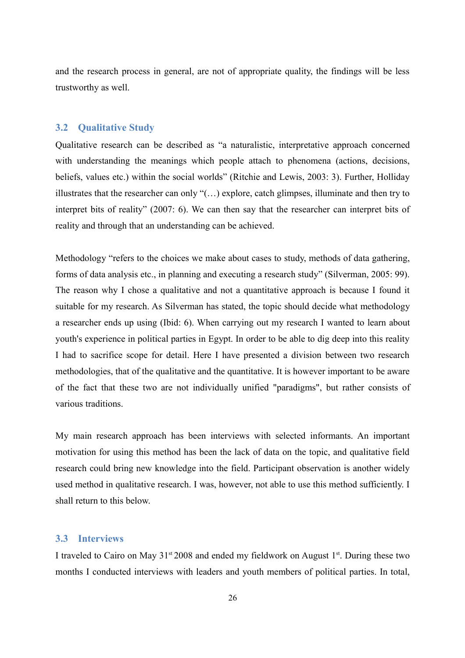and the research process in general, are not of appropriate quality, the findings will be less trustworthy as well.

## <span id="page-25-1"></span>**3.2 Qualitative Study**

Qualitative research can be described as "a naturalistic, interpretative approach concerned with understanding the meanings which people attach to phenomena (actions, decisions, beliefs, values etc.) within the social worlds" (Ritchie and Lewis, 2003: 3). Further, Holliday illustrates that the researcher can only "(…) explore, catch glimpses, illuminate and then try to interpret bits of reality" (2007: 6). We can then say that the researcher can interpret bits of reality and through that an understanding can be achieved.

Methodology "refers to the choices we make about cases to study, methods of data gathering, forms of data analysis etc., in planning and executing a research study" (Silverman, 2005: 99). The reason why I chose a qualitative and not a quantitative approach is because I found it suitable for my research. As Silverman has stated, the topic should decide what methodology a researcher ends up using (Ibid: 6). When carrying out my research I wanted to learn about youth's experience in political parties in Egypt. In order to be able to dig deep into this reality I had to sacrifice scope for detail. Here I have presented a division between two research methodologies, that of the qualitative and the quantitative. It is however important to be aware of the fact that these two are not individually unified "paradigms", but rather consists of various traditions.

My main research approach has been interviews with selected informants. An important motivation for using this method has been the lack of data on the topic, and qualitative field research could bring new knowledge into the field. Participant observation is another widely used method in qualitative research. I was, however, not able to use this method sufficiently. I shall return to this below.

# <span id="page-25-0"></span>**3.3 Interviews**

I traveled to Cairo on May  $31<sup>st</sup> 2008$  and ended my fieldwork on August  $1<sup>st</sup>$ . During these two months I conducted interviews with leaders and youth members of political parties. In total,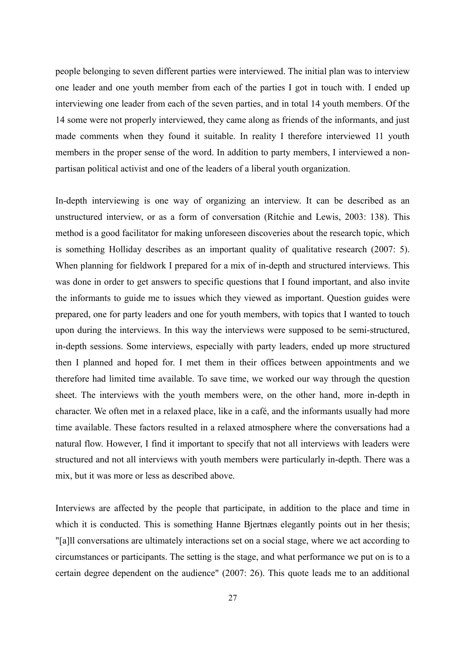people belonging to seven different parties were interviewed. The initial plan was to interview one leader and one youth member from each of the parties I got in touch with. I ended up interviewing one leader from each of the seven parties, and in total 14 youth members. Of the 14 some were not properly interviewed, they came along as friends of the informants, and just made comments when they found it suitable. In reality I therefore interviewed 11 youth members in the proper sense of the word. In addition to party members, I interviewed a nonpartisan political activist and one of the leaders of a liberal youth organization.

In-depth interviewing is one way of organizing an interview. It can be described as an unstructured interview, or as a form of conversation (Ritchie and Lewis, 2003: 138). This method is a good facilitator for making unforeseen discoveries about the research topic, which is something Holliday describes as an important quality of qualitative research (2007: 5). When planning for fieldwork I prepared for a mix of in-depth and structured interviews. This was done in order to get answers to specific questions that I found important, and also invite the informants to guide me to issues which they viewed as important. Question guides were prepared, one for party leaders and one for youth members, with topics that I wanted to touch upon during the interviews. In this way the interviews were supposed to be semi-structured, in-depth sessions. Some interviews, especially with party leaders, ended up more structured then I planned and hoped for. I met them in their offices between appointments and we therefore had limited time available. To save time, we worked our way through the question sheet. The interviews with the youth members were, on the other hand, more in-depth in character. We often met in a relaxed place, like in a café, and the informants usually had more time available. These factors resulted in a relaxed atmosphere where the conversations had a natural flow. However, I find it important to specify that not all interviews with leaders were structured and not all interviews with youth members were particularly in-depth. There was a mix, but it was more or less as described above.

Interviews are affected by the people that participate, in addition to the place and time in which it is conducted. This is something Hanne Bjertnæs elegantly points out in her thesis; "[a]ll conversations are ultimately interactions set on a social stage, where we act according to circumstances or participants. The setting is the stage, and what performance we put on is to a certain degree dependent on the audience" (2007: 26). This quote leads me to an additional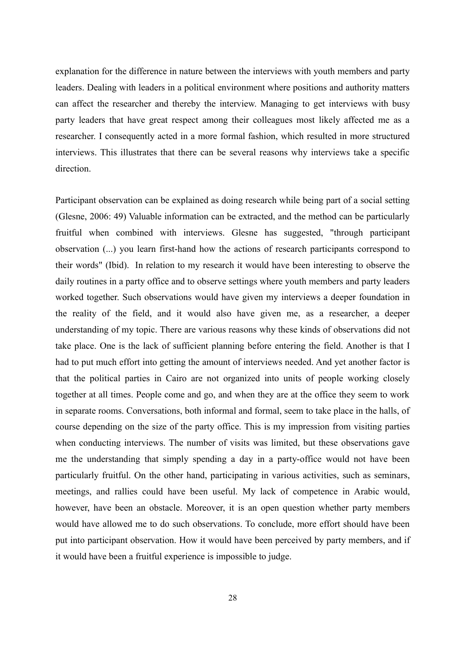explanation for the difference in nature between the interviews with youth members and party leaders. Dealing with leaders in a political environment where positions and authority matters can affect the researcher and thereby the interview. Managing to get interviews with busy party leaders that have great respect among their colleagues most likely affected me as a researcher. I consequently acted in a more formal fashion, which resulted in more structured interviews. This illustrates that there can be several reasons why interviews take a specific direction.

Participant observation can be explained as doing research while being part of a social setting (Glesne, 2006: 49) Valuable information can be extracted, and the method can be particularly fruitful when combined with interviews. Glesne has suggested, "through participant observation (...) you learn first-hand how the actions of research participants correspond to their words" (Ibid). In relation to my research it would have been interesting to observe the daily routines in a party office and to observe settings where youth members and party leaders worked together. Such observations would have given my interviews a deeper foundation in the reality of the field, and it would also have given me, as a researcher, a deeper understanding of my topic. There are various reasons why these kinds of observations did not take place. One is the lack of sufficient planning before entering the field. Another is that I had to put much effort into getting the amount of interviews needed. And yet another factor is that the political parties in Cairo are not organized into units of people working closely together at all times. People come and go, and when they are at the office they seem to work in separate rooms. Conversations, both informal and formal, seem to take place in the halls, of course depending on the size of the party office. This is my impression from visiting parties when conducting interviews. The number of visits was limited, but these observations gave me the understanding that simply spending a day in a party-office would not have been particularly fruitful. On the other hand, participating in various activities, such as seminars, meetings, and rallies could have been useful. My lack of competence in Arabic would, however, have been an obstacle. Moreover, it is an open question whether party members would have allowed me to do such observations. To conclude, more effort should have been put into participant observation. How it would have been perceived by party members, and if it would have been a fruitful experience is impossible to judge.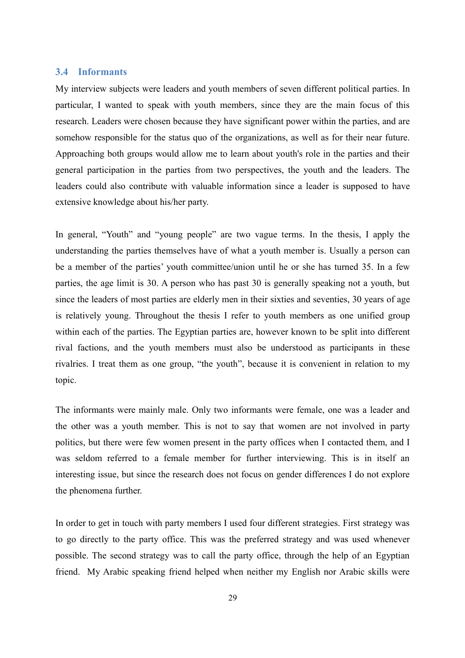#### <span id="page-28-0"></span>**3.4 Informants**

My interview subjects were leaders and youth members of seven different political parties. In particular, I wanted to speak with youth members, since they are the main focus of this research. Leaders were chosen because they have significant power within the parties, and are somehow responsible for the status quo of the organizations, as well as for their near future. Approaching both groups would allow me to learn about youth's role in the parties and their general participation in the parties from two perspectives, the youth and the leaders. The leaders could also contribute with valuable information since a leader is supposed to have extensive knowledge about his/her party.

In general, "Youth" and "young people" are two vague terms. In the thesis, I apply the understanding the parties themselves have of what a youth member is. Usually a person can be a member of the parties' youth committee/union until he or she has turned 35. In a few parties, the age limit is 30. A person who has past 30 is generally speaking not a youth, but since the leaders of most parties are elderly men in their sixties and seventies, 30 years of age is relatively young. Throughout the thesis I refer to youth members as one unified group within each of the parties. The Egyptian parties are, however known to be split into different rival factions, and the youth members must also be understood as participants in these rivalries. I treat them as one group, "the youth", because it is convenient in relation to my topic.

The informants were mainly male. Only two informants were female, one was a leader and the other was a youth member. This is not to say that women are not involved in party politics, but there were few women present in the party offices when I contacted them, and I was seldom referred to a female member for further interviewing. This is in itself an interesting issue, but since the research does not focus on gender differences I do not explore the phenomena further.

In order to get in touch with party members I used four different strategies. First strategy was to go directly to the party office. This was the preferred strategy and was used whenever possible. The second strategy was to call the party office, through the help of an Egyptian friend. My Arabic speaking friend helped when neither my English nor Arabic skills were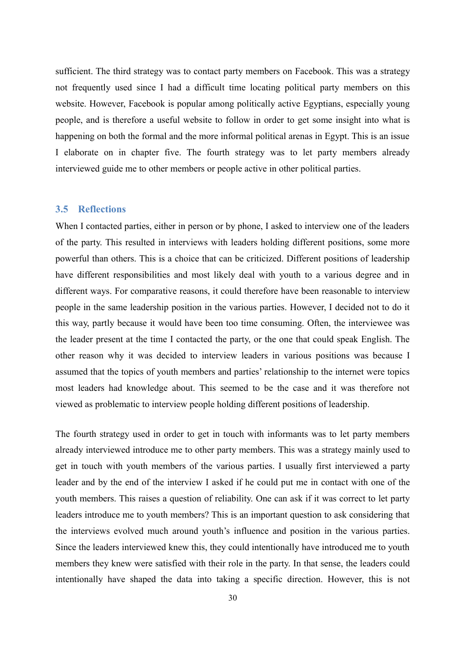sufficient. The third strategy was to contact party members on Facebook. This was a strategy not frequently used since I had a difficult time locating political party members on this website. However, Facebook is popular among politically active Egyptians, especially young people, and is therefore a useful website to follow in order to get some insight into what is happening on both the formal and the more informal political arenas in Egypt. This is an issue I elaborate on in chapter five. The fourth strategy was to let party members already interviewed guide me to other members or people active in other political parties.

#### <span id="page-29-0"></span>**3.5 Reflections**

When I contacted parties, either in person or by phone, I asked to interview one of the leaders of the party. This resulted in interviews with leaders holding different positions, some more powerful than others. This is a choice that can be criticized. Different positions of leadership have different responsibilities and most likely deal with youth to a various degree and in different ways. For comparative reasons, it could therefore have been reasonable to interview people in the same leadership position in the various parties. However, I decided not to do it this way, partly because it would have been too time consuming. Often, the interviewee was the leader present at the time I contacted the party, or the one that could speak English. The other reason why it was decided to interview leaders in various positions was because I assumed that the topics of youth members and parties' relationship to the internet were topics most leaders had knowledge about. This seemed to be the case and it was therefore not viewed as problematic to interview people holding different positions of leadership.

The fourth strategy used in order to get in touch with informants was to let party members already interviewed introduce me to other party members. This was a strategy mainly used to get in touch with youth members of the various parties. I usually first interviewed a party leader and by the end of the interview I asked if he could put me in contact with one of the youth members. This raises a question of reliability. One can ask if it was correct to let party leaders introduce me to youth members? This is an important question to ask considering that the interviews evolved much around youth's influence and position in the various parties. Since the leaders interviewed knew this, they could intentionally have introduced me to youth members they knew were satisfied with their role in the party. In that sense, the leaders could intentionally have shaped the data into taking a specific direction. However, this is not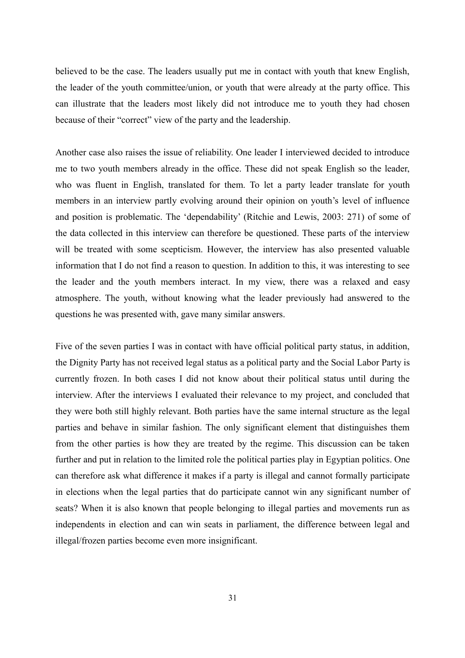believed to be the case. The leaders usually put me in contact with youth that knew English, the leader of the youth committee/union, or youth that were already at the party office. This can illustrate that the leaders most likely did not introduce me to youth they had chosen because of their "correct" view of the party and the leadership.

Another case also raises the issue of reliability. One leader I interviewed decided to introduce me to two youth members already in the office. These did not speak English so the leader, who was fluent in English, translated for them. To let a party leader translate for youth members in an interview partly evolving around their opinion on youth's level of influence and position is problematic. The 'dependability' (Ritchie and Lewis, 2003: 271) of some of the data collected in this interview can therefore be questioned. These parts of the interview will be treated with some scepticism. However, the interview has also presented valuable information that I do not find a reason to question. In addition to this, it was interesting to see the leader and the youth members interact. In my view, there was a relaxed and easy atmosphere. The youth, without knowing what the leader previously had answered to the questions he was presented with, gave many similar answers.

Five of the seven parties I was in contact with have official political party status, in addition, the Dignity Party has not received legal status as a political party and the Social Labor Party is currently frozen. In both cases I did not know about their political status until during the interview. After the interviews I evaluated their relevance to my project, and concluded that they were both still highly relevant. Both parties have the same internal structure as the legal parties and behave in similar fashion. The only significant element that distinguishes them from the other parties is how they are treated by the regime. This discussion can be taken further and put in relation to the limited role the political parties play in Egyptian politics. One can therefore ask what difference it makes if a party is illegal and cannot formally participate in elections when the legal parties that do participate cannot win any significant number of seats? When it is also known that people belonging to illegal parties and movements run as independents in election and can win seats in parliament, the difference between legal and illegal/frozen parties become even more insignificant.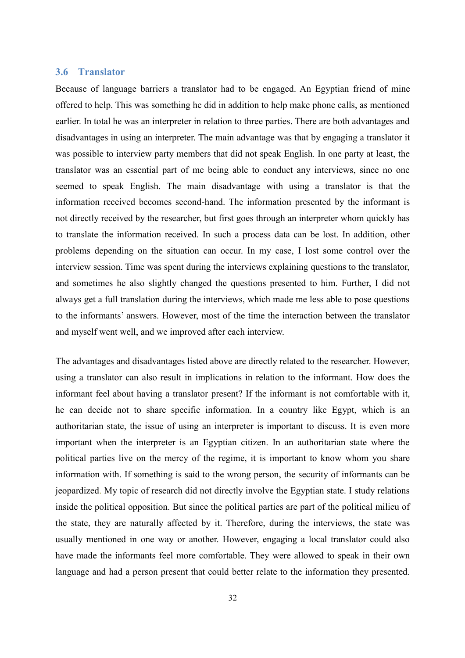#### <span id="page-31-0"></span>**3.6 Translator**

Because of language barriers a translator had to be engaged. An Egyptian friend of mine offered to help. This was something he did in addition to help make phone calls, as mentioned earlier. In total he was an interpreter in relation to three parties. There are both advantages and disadvantages in using an interpreter. The main advantage was that by engaging a translator it was possible to interview party members that did not speak English. In one party at least, the translator was an essential part of me being able to conduct any interviews, since no one seemed to speak English. The main disadvantage with using a translator is that the information received becomes second-hand. The information presented by the informant is not directly received by the researcher, but first goes through an interpreter whom quickly has to translate the information received. In such a process data can be lost. In addition, other problems depending on the situation can occur. In my case, I lost some control over the interview session. Time was spent during the interviews explaining questions to the translator, and sometimes he also slightly changed the questions presented to him. Further, I did not always get a full translation during the interviews, which made me less able to pose questions to the informants' answers. However, most of the time the interaction between the translator and myself went well, and we improved after each interview.

The advantages and disadvantages listed above are directly related to the researcher. However, using a translator can also result in implications in relation to the informant. How does the informant feel about having a translator present? If the informant is not comfortable with it, he can decide not to share specific information. In a country like Egypt, which is an authoritarian state, the issue of using an interpreter is important to discuss. It is even more important when the interpreter is an Egyptian citizen. In an authoritarian state where the political parties live on the mercy of the regime, it is important to know whom you share information with. If something is said to the wrong person, the security of informants can be jeopardized. My topic of research did not directly involve the Egyptian state. I study relations inside the political opposition. But since the political parties are part of the political milieu of the state, they are naturally affected by it. Therefore, during the interviews, the state was usually mentioned in one way or another. However, engaging a local translator could also have made the informants feel more comfortable. They were allowed to speak in their own language and had a person present that could better relate to the information they presented.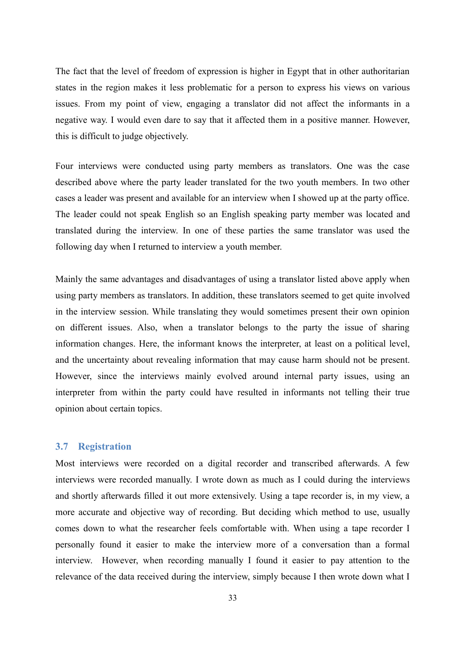The fact that the level of freedom of expression is higher in Egypt that in other authoritarian states in the region makes it less problematic for a person to express his views on various issues. From my point of view, engaging a translator did not affect the informants in a negative way. I would even dare to say that it affected them in a positive manner. However, this is difficult to judge objectively.

Four interviews were conducted using party members as translators. One was the case described above where the party leader translated for the two youth members. In two other cases a leader was present and available for an interview when I showed up at the party office. The leader could not speak English so an English speaking party member was located and translated during the interview. In one of these parties the same translator was used the following day when I returned to interview a youth member.

Mainly the same advantages and disadvantages of using a translator listed above apply when using party members as translators. In addition, these translators seemed to get quite involved in the interview session. While translating they would sometimes present their own opinion on different issues. Also, when a translator belongs to the party the issue of sharing information changes. Here, the informant knows the interpreter, at least on a political level, and the uncertainty about revealing information that may cause harm should not be present. However, since the interviews mainly evolved around internal party issues, using an interpreter from within the party could have resulted in informants not telling their true opinion about certain topics.

#### <span id="page-32-0"></span>**3.7 Registration**

Most interviews were recorded on a digital recorder and transcribed afterwards. A few interviews were recorded manually. I wrote down as much as I could during the interviews and shortly afterwards filled it out more extensively. Using a tape recorder is, in my view, a more accurate and objective way of recording. But deciding which method to use, usually comes down to what the researcher feels comfortable with. When using a tape recorder I personally found it easier to make the interview more of a conversation than a formal interview. However, when recording manually I found it easier to pay attention to the relevance of the data received during the interview, simply because I then wrote down what I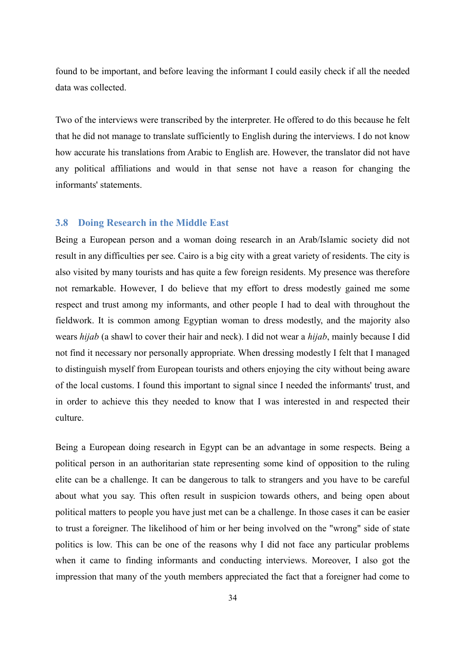found to be important, and before leaving the informant I could easily check if all the needed data was collected.

Two of the interviews were transcribed by the interpreter. He offered to do this because he felt that he did not manage to translate sufficiently to English during the interviews. I do not know how accurate his translations from Arabic to English are. However, the translator did not have any political affiliations and would in that sense not have a reason for changing the informants' statements.

#### <span id="page-33-0"></span>**3.8 Doing Research in the Middle East**

Being a European person and a woman doing research in an Arab/Islamic society did not result in any difficulties per see. Cairo is a big city with a great variety of residents. The city is also visited by many tourists and has quite a few foreign residents. My presence was therefore not remarkable. However, I do believe that my effort to dress modestly gained me some respect and trust among my informants, and other people I had to deal with throughout the fieldwork. It is common among Egyptian woman to dress modestly, and the majority also wears *hijab* (a shawl to cover their hair and neck). I did not wear a *hijab*, mainly because I did not find it necessary nor personally appropriate. When dressing modestly I felt that I managed to distinguish myself from European tourists and others enjoying the city without being aware of the local customs. I found this important to signal since I needed the informants' trust, and in order to achieve this they needed to know that I was interested in and respected their culture.

Being a European doing research in Egypt can be an advantage in some respects. Being a political person in an authoritarian state representing some kind of opposition to the ruling elite can be a challenge. It can be dangerous to talk to strangers and you have to be careful about what you say. This often result in suspicion towards others, and being open about political matters to people you have just met can be a challenge. In those cases it can be easier to trust a foreigner. The likelihood of him or her being involved on the "wrong" side of state politics is low. This can be one of the reasons why I did not face any particular problems when it came to finding informants and conducting interviews. Moreover, I also got the impression that many of the youth members appreciated the fact that a foreigner had come to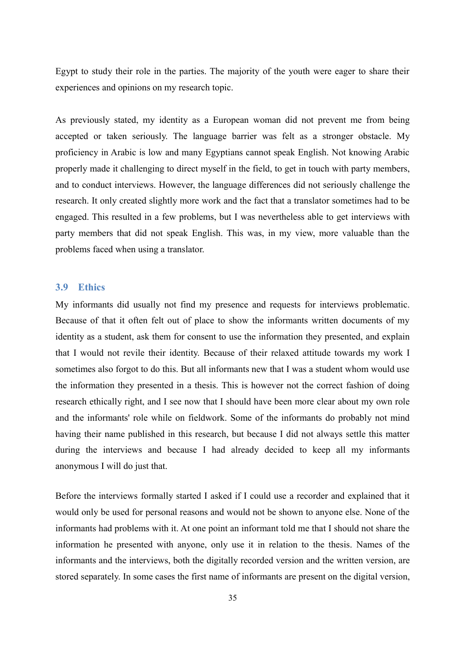Egypt to study their role in the parties. The majority of the youth were eager to share their experiences and opinions on my research topic.

As previously stated, my identity as a European woman did not prevent me from being accepted or taken seriously. The language barrier was felt as a stronger obstacle. My proficiency in Arabic is low and many Egyptians cannot speak English. Not knowing Arabic properly made it challenging to direct myself in the field, to get in touch with party members, and to conduct interviews. However, the language differences did not seriously challenge the research. It only created slightly more work and the fact that a translator sometimes had to be engaged. This resulted in a few problems, but I was nevertheless able to get interviews with party members that did not speak English. This was, in my view, more valuable than the problems faced when using a translator.

#### <span id="page-34-0"></span>**3.9 Ethics**

My informants did usually not find my presence and requests for interviews problematic. Because of that it often felt out of place to show the informants written documents of my identity as a student, ask them for consent to use the information they presented, and explain that I would not revile their identity. Because of their relaxed attitude towards my work I sometimes also forgot to do this. But all informants new that I was a student whom would use the information they presented in a thesis. This is however not the correct fashion of doing research ethically right, and I see now that I should have been more clear about my own role and the informants' role while on fieldwork. Some of the informants do probably not mind having their name published in this research, but because I did not always settle this matter during the interviews and because I had already decided to keep all my informants anonymous I will do just that.

Before the interviews formally started I asked if I could use a recorder and explained that it would only be used for personal reasons and would not be shown to anyone else. None of the informants had problems with it. At one point an informant told me that I should not share the information he presented with anyone, only use it in relation to the thesis. Names of the informants and the interviews, both the digitally recorded version and the written version, are stored separately. In some cases the first name of informants are present on the digital version,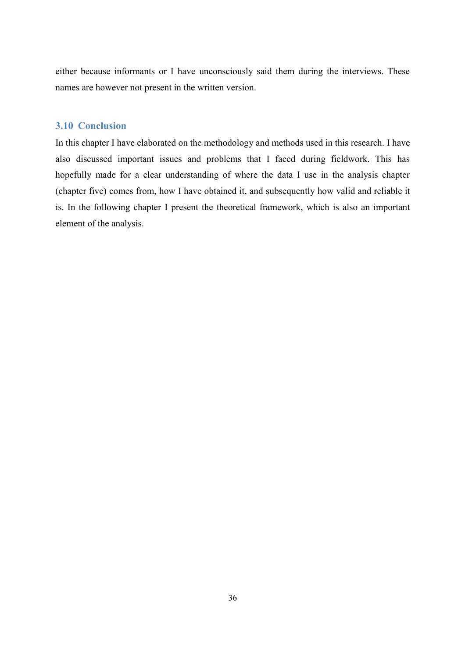either because informants or I have unconsciously said them during the interviews. These names are however not present in the written version.

# <span id="page-35-0"></span>**3.10 Conclusion**

In this chapter I have elaborated on the methodology and methods used in this research. I have also discussed important issues and problems that I faced during fieldwork. This has hopefully made for a clear understanding of where the data I use in the analysis chapter (chapter five) comes from, how I have obtained it, and subsequently how valid and reliable it is. In the following chapter I present the theoretical framework, which is also an important element of the analysis.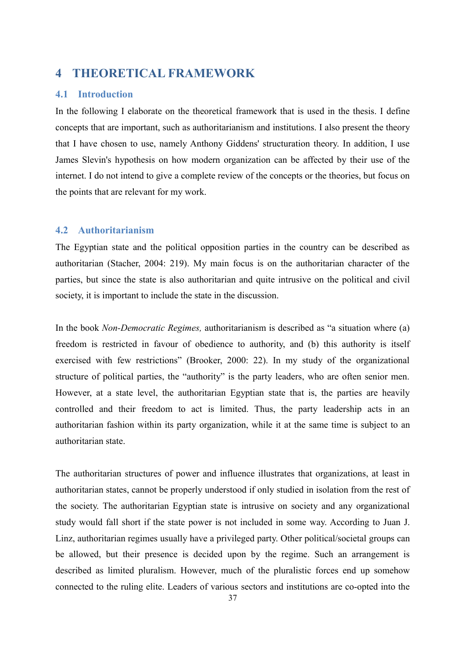# **4 THEORETICAL FRAMEWORK**

#### **4.1 Introduction**

In the following I elaborate on the theoretical framework that is used in the thesis. I define concepts that are important, such as authoritarianism and institutions. I also present the theory that I have chosen to use, namely Anthony Giddens' structuration theory. In addition, I use James Slevin's hypothesis on how modern organization can be affected by their use of the internet. I do not intend to give a complete review of the concepts or the theories, but focus on the points that are relevant for my work.

### **4.2 Authoritarianism**

The Egyptian state and the political opposition parties in the country can be described as authoritarian (Stacher, 2004: 219). My main focus is on the authoritarian character of the parties, but since the state is also authoritarian and quite intrusive on the political and civil society, it is important to include the state in the discussion.

In the book *Non-Democratic Regimes,* authoritarianism is described as "a situation where (a) freedom is restricted in favour of obedience to authority, and (b) this authority is itself exercised with few restrictions" (Brooker, 2000: 22). In my study of the organizational structure of political parties, the "authority" is the party leaders, who are often senior men. However, at a state level, the authoritarian Egyptian state that is, the parties are heavily controlled and their freedom to act is limited. Thus, the party leadership acts in an authoritarian fashion within its party organization, while it at the same time is subject to an authoritarian state.

The authoritarian structures of power and influence illustrates that organizations, at least in authoritarian states, cannot be properly understood if only studied in isolation from the rest of the society. The authoritarian Egyptian state is intrusive on society and any organizational study would fall short if the state power is not included in some way. According to Juan J. Linz, authoritarian regimes usually have a privileged party. Other political/societal groups can be allowed, but their presence is decided upon by the regime. Such an arrangement is described as limited pluralism. However, much of the pluralistic forces end up somehow connected to the ruling elite. Leaders of various sectors and institutions are co-opted into the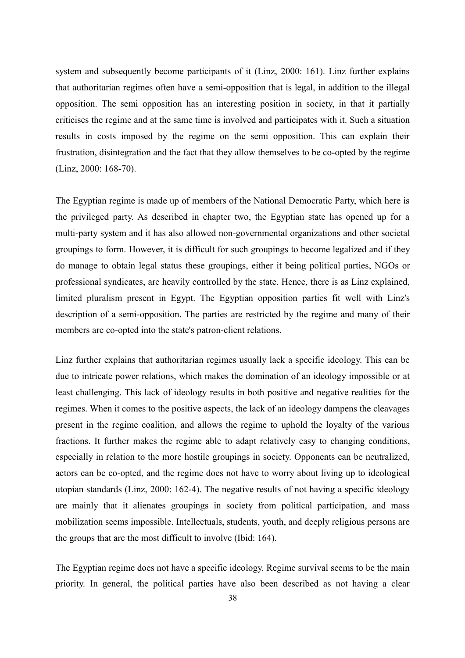system and subsequently become participants of it (Linz, 2000: 161). Linz further explains that authoritarian regimes often have a semi-opposition that is legal, in addition to the illegal opposition. The semi opposition has an interesting position in society, in that it partially criticises the regime and at the same time is involved and participates with it. Such a situation results in costs imposed by the regime on the semi opposition. This can explain their frustration, disintegration and the fact that they allow themselves to be co-opted by the regime (Linz, 2000: 168-70).

The Egyptian regime is made up of members of the National Democratic Party, which here is the privileged party. As described in chapter two, the Egyptian state has opened up for a multi-party system and it has also allowed non-governmental organizations and other societal groupings to form. However, it is difficult for such groupings to become legalized and if they do manage to obtain legal status these groupings, either it being political parties, NGOs or professional syndicates, are heavily controlled by the state. Hence, there is as Linz explained, limited pluralism present in Egypt. The Egyptian opposition parties fit well with Linz's description of a semi-opposition. The parties are restricted by the regime and many of their members are co-opted into the state's patron-client relations.

Linz further explains that authoritarian regimes usually lack a specific ideology. This can be due to intricate power relations, which makes the domination of an ideology impossible or at least challenging. This lack of ideology results in both positive and negative realities for the regimes. When it comes to the positive aspects, the lack of an ideology dampens the cleavages present in the regime coalition, and allows the regime to uphold the loyalty of the various fractions. It further makes the regime able to adapt relatively easy to changing conditions, especially in relation to the more hostile groupings in society. Opponents can be neutralized, actors can be co-opted, and the regime does not have to worry about living up to ideological utopian standards (Linz, 2000: 162-4). The negative results of not having a specific ideology are mainly that it alienates groupings in society from political participation, and mass mobilization seems impossible. Intellectuals, students, youth, and deeply religious persons are the groups that are the most difficult to involve (Ibid: 164).

The Egyptian regime does not have a specific ideology. Regime survival seems to be the main priority. In general, the political parties have also been described as not having a clear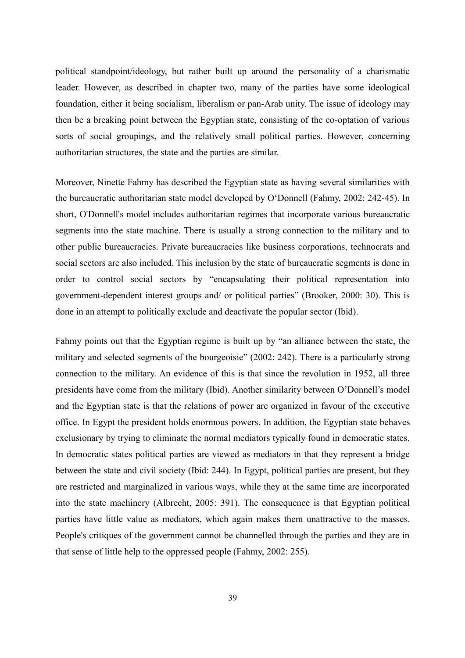political standpoint/ideology, but rather built up around the personality of a charismatic leader. However, as described in chapter two, many of the parties have some ideological foundation, either it being socialism, liberalism or pan-Arab unity. The issue of ideology may then be a breaking point between the Egyptian state, consisting of the co-optation of various sorts of social groupings, and the relatively small political parties. However, concerning authoritarian structures, the state and the parties are similar.

Moreover, Ninette Fahmy has described the Egyptian state as having several similarities with the bureaucratic authoritarian state model developed by O'Donnell (Fahmy, 2002: 242-45). In short, O'Donnell's model includes authoritarian regimes that incorporate various bureaucratic segments into the state machine. There is usually a strong connection to the military and to other public bureaucracies. Private bureaucracies like business corporations, technocrats and social sectors are also included. This inclusion by the state of bureaucratic segments is done in order to control social sectors by "encapsulating their political representation into government-dependent interest groups and/ or political parties" (Brooker, 2000: 30). This is done in an attempt to politically exclude and deactivate the popular sector (Ibid).

Fahmy points out that the Egyptian regime is built up by "an alliance between the state, the military and selected segments of the bourgeoisie" (2002: 242). There is a particularly strong connection to the military. An evidence of this is that since the revolution in 1952, all three presidents have come from the military (Ibid). Another similarity between O'Donnell's model and the Egyptian state is that the relations of power are organized in favour of the executive office. In Egypt the president holds enormous powers. In addition, the Egyptian state behaves exclusionary by trying to eliminate the normal mediators typically found in democratic states. In democratic states political parties are viewed as mediators in that they represent a bridge between the state and civil society (Ibid: 244). In Egypt, political parties are present, but they are restricted and marginalized in various ways, while they at the same time are incorporated into the state machinery (Albrecht, 2005: 391). The consequence is that Egyptian political parties have little value as mediators, which again makes them unattractive to the masses. People's critiques of the government cannot be channelled through the parties and they are in that sense of little help to the oppressed people (Fahmy, 2002: 255).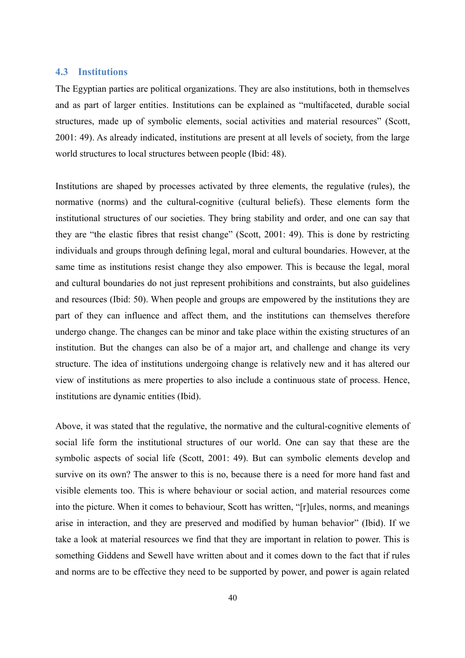#### **4.3 Institutions**

The Egyptian parties are political organizations. They are also institutions, both in themselves and as part of larger entities. Institutions can be explained as "multifaceted, durable social structures, made up of symbolic elements, social activities and material resources" (Scott, 2001: 49). As already indicated, institutions are present at all levels of society, from the large world structures to local structures between people (Ibid: 48).

Institutions are shaped by processes activated by three elements, the regulative (rules), the normative (norms) and the cultural-cognitive (cultural beliefs). These elements form the institutional structures of our societies. They bring stability and order, and one can say that they are "the elastic fibres that resist change" (Scott, 2001: 49). This is done by restricting individuals and groups through defining legal, moral and cultural boundaries. However, at the same time as institutions resist change they also empower. This is because the legal, moral and cultural boundaries do not just represent prohibitions and constraints, but also guidelines and resources (Ibid: 50). When people and groups are empowered by the institutions they are part of they can influence and affect them, and the institutions can themselves therefore undergo change. The changes can be minor and take place within the existing structures of an institution. But the changes can also be of a major art, and challenge and change its very structure. The idea of institutions undergoing change is relatively new and it has altered our view of institutions as mere properties to also include a continuous state of process. Hence, institutions are dynamic entities (Ibid).

Above, it was stated that the regulative, the normative and the cultural-cognitive elements of social life form the institutional structures of our world. One can say that these are the symbolic aspects of social life (Scott, 2001: 49). But can symbolic elements develop and survive on its own? The answer to this is no, because there is a need for more hand fast and visible elements too. This is where behaviour or social action, and material resources come into the picture. When it comes to behaviour, Scott has written, "[r]ules, norms, and meanings arise in interaction, and they are preserved and modified by human behavior" (Ibid). If we take a look at material resources we find that they are important in relation to power. This is something Giddens and Sewell have written about and it comes down to the fact that if rules and norms are to be effective they need to be supported by power, and power is again related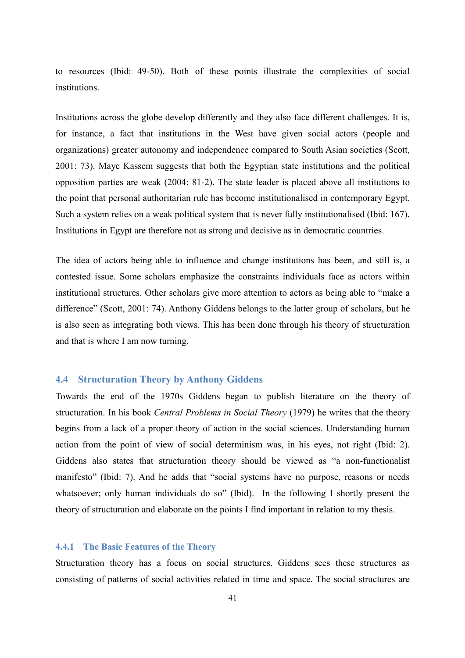to resources (Ibid: 49-50). Both of these points illustrate the complexities of social institutions.

Institutions across the globe develop differently and they also face different challenges. It is, for instance, a fact that institutions in the West have given social actors (people and organizations) greater autonomy and independence compared to South Asian societies (Scott, 2001: 73). Maye Kassem suggests that both the Egyptian state institutions and the political opposition parties are weak (2004: 81-2). The state leader is placed above all institutions to the point that personal authoritarian rule has become institutionalised in contemporary Egypt. Such a system relies on a weak political system that is never fully institutionalised (Ibid: 167). Institutions in Egypt are therefore not as strong and decisive as in democratic countries.

The idea of actors being able to influence and change institutions has been, and still is, a contested issue. Some scholars emphasize the constraints individuals face as actors within institutional structures. Other scholars give more attention to actors as being able to "make a difference" (Scott, 2001: 74). Anthony Giddens belongs to the latter group of scholars, but he is also seen as integrating both views. This has been done through his theory of structuration and that is where I am now turning.

#### **4.4 Structuration Theory by Anthony Giddens**

Towards the end of the 1970s Giddens began to publish literature on the theory of structuration. In his book *Central Problems in Social Theory* (1979) he writes that the theory begins from a lack of a proper theory of action in the social sciences. Understanding human action from the point of view of social determinism was, in his eyes, not right (Ibid: 2). Giddens also states that structuration theory should be viewed as "a non-functionalist manifesto" (Ibid: 7). And he adds that "social systems have no purpose, reasons or needs whatsoever; only human individuals do so" (Ibid). In the following I shortly present the theory of structuration and elaborate on the points I find important in relation to my thesis.

#### **4.4.1 The Basic Features of the Theory**

Structuration theory has a focus on social structures. Giddens sees these structures as consisting of patterns of social activities related in time and space. The social structures are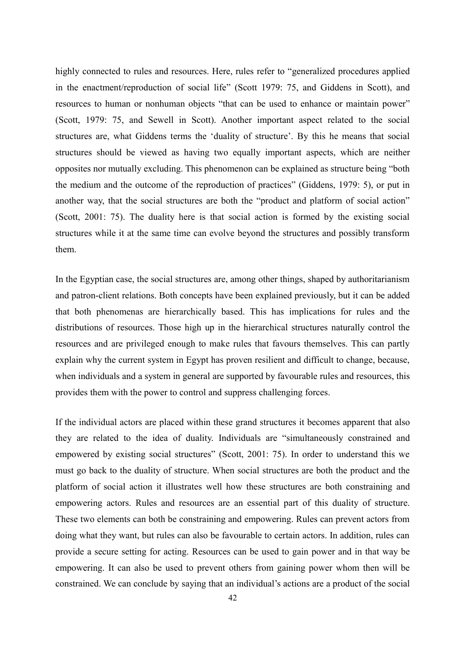highly connected to rules and resources. Here, rules refer to "generalized procedures applied in the enactment/reproduction of social life" (Scott 1979: 75, and Giddens in Scott), and resources to human or nonhuman objects "that can be used to enhance or maintain power" (Scott, 1979: 75, and Sewell in Scott). Another important aspect related to the social structures are, what Giddens terms the 'duality of structure'. By this he means that social structures should be viewed as having two equally important aspects, which are neither opposites nor mutually excluding. This phenomenon can be explained as structure being "both the medium and the outcome of the reproduction of practices" (Giddens, 1979: 5), or put in another way, that the social structures are both the "product and platform of social action" (Scott, 2001: 75). The duality here is that social action is formed by the existing social structures while it at the same time can evolve beyond the structures and possibly transform them.

In the Egyptian case, the social structures are, among other things, shaped by authoritarianism and patron-client relations. Both concepts have been explained previously, but it can be added that both phenomenas are hierarchically based. This has implications for rules and the distributions of resources. Those high up in the hierarchical structures naturally control the resources and are privileged enough to make rules that favours themselves. This can partly explain why the current system in Egypt has proven resilient and difficult to change, because, when individuals and a system in general are supported by favourable rules and resources, this provides them with the power to control and suppress challenging forces.

If the individual actors are placed within these grand structures it becomes apparent that also they are related to the idea of duality. Individuals are "simultaneously constrained and empowered by existing social structures" (Scott, 2001: 75). In order to understand this we must go back to the duality of structure. When social structures are both the product and the platform of social action it illustrates well how these structures are both constraining and empowering actors. Rules and resources are an essential part of this duality of structure. These two elements can both be constraining and empowering. Rules can prevent actors from doing what they want, but rules can also be favourable to certain actors. In addition, rules can provide a secure setting for acting. Resources can be used to gain power and in that way be empowering. It can also be used to prevent others from gaining power whom then will be constrained. We can conclude by saying that an individual's actions are a product of the social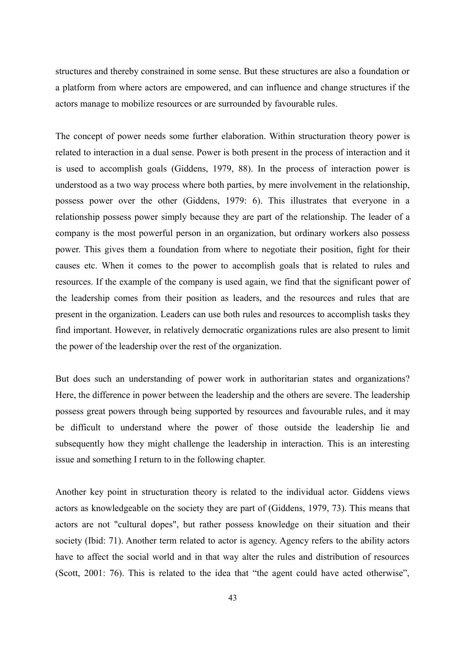structures and thereby constrained in some sense. But these structures are also a foundation or a platform from where actors are empowered, and can influence and change structures if the actors manage to mobilize resources or are surrounded by favourable rules.

The concept of power needs some further elaboration. Within structuration theory power is related to interaction in a dual sense. Power is both present in the process of interaction and it is used to accomplish goals (Giddens, 1979, 88). In the process of interaction power is understood as a two way process where both parties, by mere involvement in the relationship, possess power over the other (Giddens, 1979: 6). This illustrates that everyone in a relationship possess power simply because they are part of the relationship. The leader of a company is the most powerful person in an organization, but ordinary workers also possess power. This gives them a foundation from where to negotiate their position, fight for their causes etc. When it comes to the power to accomplish goals that is related to rules and resources. If the example of the company is used again, we find that the significant power of the leadership comes from their position as leaders, and the resources and rules that are present in the organization. Leaders can use both rules and resources to accomplish tasks they find important. However, in relatively democratic organizations rules are also present to limit the power of the leadership over the rest of the organization.

But does such an understanding of power work in authoritarian states and organizations? Here, the difference in power between the leadership and the others are severe. The leadership possess great powers through being supported by resources and favourable rules, and it may be difficult to understand where the power of those outside the leadership lie and subsequently how they might challenge the leadership in interaction. This is an interesting issue and something I return to in the following chapter.

Another key point in structuration theory is related to the individual actor. Giddens views actors as knowledgeable on the society they are part of (Giddens, 1979, 73). This means that actors are not "cultural dopes", but rather possess knowledge on their situation and their society (Ibid: 71). Another term related to actor is agency. Agency refers to the ability actors have to affect the social world and in that way alter the rules and distribution of resources (Scott, 2001: 76). This is related to the idea that "the agent could have acted otherwise",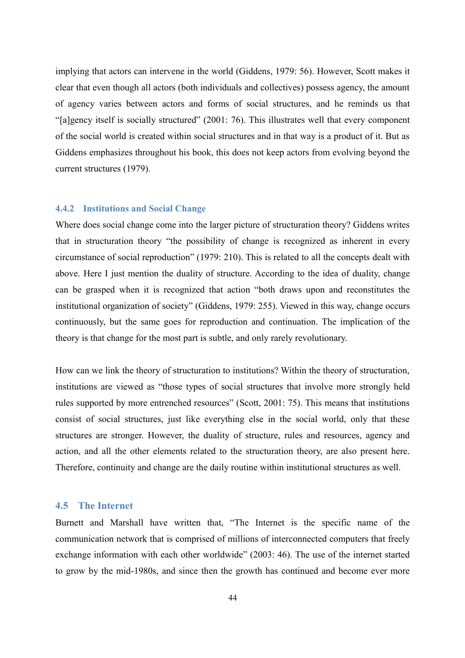implying that actors can intervene in the world (Giddens, 1979: 56). However, Scott makes it clear that even though all actors (both individuals and collectives) possess agency, the amount of agency varies between actors and forms of social structures, and he reminds us that "[a]gency itself is socially structured" (2001: 76). This illustrates well that every component of the social world is created within social structures and in that way is a product of it. But as Giddens emphasizes throughout his book, this does not keep actors from evolving beyond the current structures (1979).

#### **4.4.2 Institutions and Social Change**

Where does social change come into the larger picture of structuration theory? Giddens writes that in structuration theory "the possibility of change is recognized as inherent in every circumstance of social reproduction" (1979: 210). This is related to all the concepts dealt with above. Here I just mention the duality of structure. According to the idea of duality, change can be grasped when it is recognized that action "both draws upon and reconstitutes the institutional organization of society" (Giddens, 1979: 255). Viewed in this way, change occurs continuously, but the same goes for reproduction and continuation. The implication of the theory is that change for the most part is subtle, and only rarely revolutionary.

How can we link the theory of structuration to institutions? Within the theory of structuration, institutions are viewed as "those types of social structures that involve more strongly held rules supported by more entrenched resources" (Scott, 2001: 75). This means that institutions consist of social structures, just like everything else in the social world, only that these structures are stronger. However, the duality of structure, rules and resources, agency and action, and all the other elements related to the structuration theory, are also present here. Therefore, continuity and change are the daily routine within institutional structures as well.

### **4.5 The Internet**

Burnett and Marshall have written that, "The Internet is the specific name of the communication network that is comprised of millions of interconnected computers that freely exchange information with each other worldwide" (2003: 46). The use of the internet started to grow by the mid-1980s, and since then the growth has continued and become ever more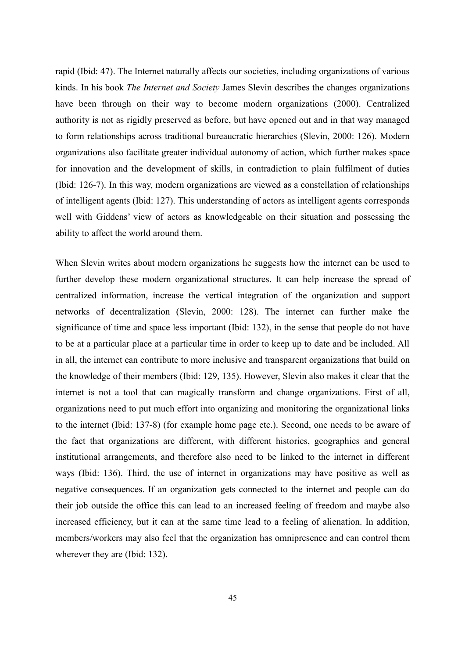rapid (Ibid: 47). The Internet naturally affects our societies, including organizations of various kinds. In his book *The Internet and Society* James Slevin describes the changes organizations have been through on their way to become modern organizations (2000). Centralized authority is not as rigidly preserved as before, but have opened out and in that way managed to form relationships across traditional bureaucratic hierarchies (Slevin, 2000: 126). Modern organizations also facilitate greater individual autonomy of action, which further makes space for innovation and the development of skills, in contradiction to plain fulfilment of duties (Ibid: 126-7). In this way, modern organizations are viewed as a constellation of relationships of intelligent agents (Ibid: 127). This understanding of actors as intelligent agents corresponds well with Giddens' view of actors as knowledgeable on their situation and possessing the ability to affect the world around them.

When Slevin writes about modern organizations he suggests how the internet can be used to further develop these modern organizational structures. It can help increase the spread of centralized information, increase the vertical integration of the organization and support networks of decentralization (Slevin, 2000: 128). The internet can further make the significance of time and space less important (Ibid: 132), in the sense that people do not have to be at a particular place at a particular time in order to keep up to date and be included. All in all, the internet can contribute to more inclusive and transparent organizations that build on the knowledge of their members (Ibid: 129, 135). However, Slevin also makes it clear that the internet is not a tool that can magically transform and change organizations. First of all, organizations need to put much effort into organizing and monitoring the organizational links to the internet (Ibid: 137-8) (for example home page etc.). Second, one needs to be aware of the fact that organizations are different, with different histories, geographies and general institutional arrangements, and therefore also need to be linked to the internet in different ways (Ibid: 136). Third, the use of internet in organizations may have positive as well as negative consequences. If an organization gets connected to the internet and people can do their job outside the office this can lead to an increased feeling of freedom and maybe also increased efficiency, but it can at the same time lead to a feeling of alienation. In addition, members/workers may also feel that the organization has omnipresence and can control them wherever they are (Ibid: 132).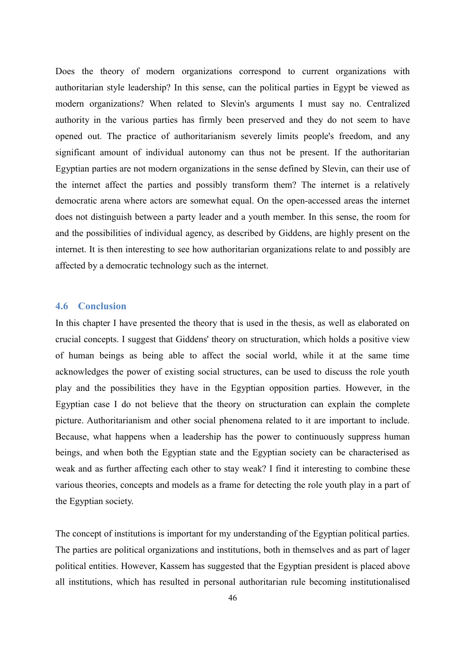Does the theory of modern organizations correspond to current organizations with authoritarian style leadership? In this sense, can the political parties in Egypt be viewed as modern organizations? When related to Slevin's arguments I must say no. Centralized authority in the various parties has firmly been preserved and they do not seem to have opened out. The practice of authoritarianism severely limits people's freedom, and any significant amount of individual autonomy can thus not be present. If the authoritarian Egyptian parties are not modern organizations in the sense defined by Slevin, can their use of the internet affect the parties and possibly transform them? The internet is a relatively democratic arena where actors are somewhat equal. On the open-accessed areas the internet does not distinguish between a party leader and a youth member. In this sense, the room for and the possibilities of individual agency, as described by Giddens, are highly present on the internet. It is then interesting to see how authoritarian organizations relate to and possibly are affected by a democratic technology such as the internet.

#### **4.6 Conclusion**

In this chapter I have presented the theory that is used in the thesis, as well as elaborated on crucial concepts. I suggest that Giddens' theory on structuration, which holds a positive view of human beings as being able to affect the social world, while it at the same time acknowledges the power of existing social structures, can be used to discuss the role youth play and the possibilities they have in the Egyptian opposition parties. However, in the Egyptian case I do not believe that the theory on structuration can explain the complete picture. Authoritarianism and other social phenomena related to it are important to include. Because, what happens when a leadership has the power to continuously suppress human beings, and when both the Egyptian state and the Egyptian society can be characterised as weak and as further affecting each other to stay weak? I find it interesting to combine these various theories, concepts and models as a frame for detecting the role youth play in a part of the Egyptian society.

The concept of institutions is important for my understanding of the Egyptian political parties. The parties are political organizations and institutions, both in themselves and as part of lager political entities. However, Kassem has suggested that the Egyptian president is placed above all institutions, which has resulted in personal authoritarian rule becoming institutionalised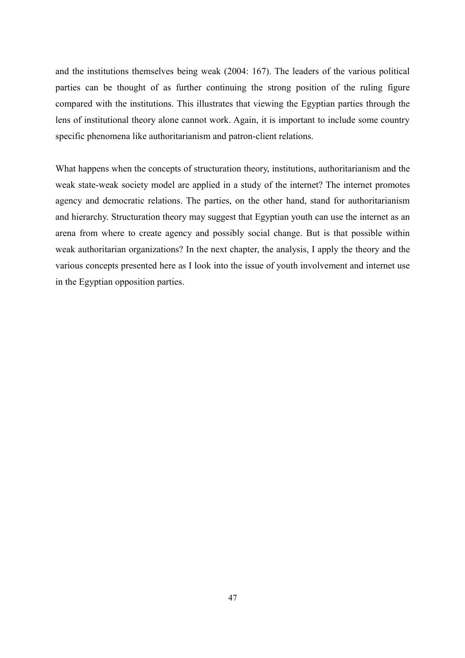and the institutions themselves being weak (2004: 167). The leaders of the various political parties can be thought of as further continuing the strong position of the ruling figure compared with the institutions. This illustrates that viewing the Egyptian parties through the lens of institutional theory alone cannot work. Again, it is important to include some country specific phenomena like authoritarianism and patron-client relations.

What happens when the concepts of structuration theory, institutions, authoritarianism and the weak state-weak society model are applied in a study of the internet? The internet promotes agency and democratic relations. The parties, on the other hand, stand for authoritarianism and hierarchy. Structuration theory may suggest that Egyptian youth can use the internet as an arena from where to create agency and possibly social change. But is that possible within weak authoritarian organizations? In the next chapter, the analysis, I apply the theory and the various concepts presented here as I look into the issue of youth involvement and internet use in the Egyptian opposition parties.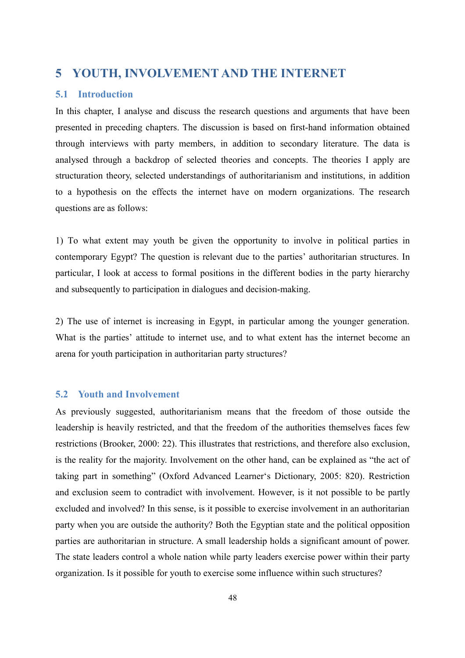# **5 YOUTH, INVOLVEMENT AND THE INTERNET**

## **5.1 Introduction**

In this chapter, I analyse and discuss the research questions and arguments that have been presented in preceding chapters. The discussion is based on first-hand information obtained through interviews with party members, in addition to secondary literature. The data is analysed through a backdrop of selected theories and concepts. The theories I apply are structuration theory, selected understandings of authoritarianism and institutions, in addition to a hypothesis on the effects the internet have on modern organizations. The research questions are as follows:

1) To what extent may youth be given the opportunity to involve in political parties in contemporary Egypt? The question is relevant due to the parties' authoritarian structures. In particular, I look at access to formal positions in the different bodies in the party hierarchy and subsequently to participation in dialogues and decision-making.

2) The use of internet is increasing in Egypt, in particular among the younger generation. What is the parties' attitude to internet use, and to what extent has the internet become an arena for youth participation in authoritarian party structures?

# **5.2 Youth and Involvement**

As previously suggested, authoritarianism means that the freedom of those outside the leadership is heavily restricted, and that the freedom of the authorities themselves faces few restrictions (Brooker, 2000: 22). This illustrates that restrictions, and therefore also exclusion, is the reality for the majority. Involvement on the other hand, can be explained as "the act of taking part in something" (Oxford Advanced Learner's Dictionary, 2005: 820). Restriction and exclusion seem to contradict with involvement. However, is it not possible to be partly excluded and involved? In this sense, is it possible to exercise involvement in an authoritarian party when you are outside the authority? Both the Egyptian state and the political opposition parties are authoritarian in structure. A small leadership holds a significant amount of power. The state leaders control a whole nation while party leaders exercise power within their party organization. Is it possible for youth to exercise some influence within such structures?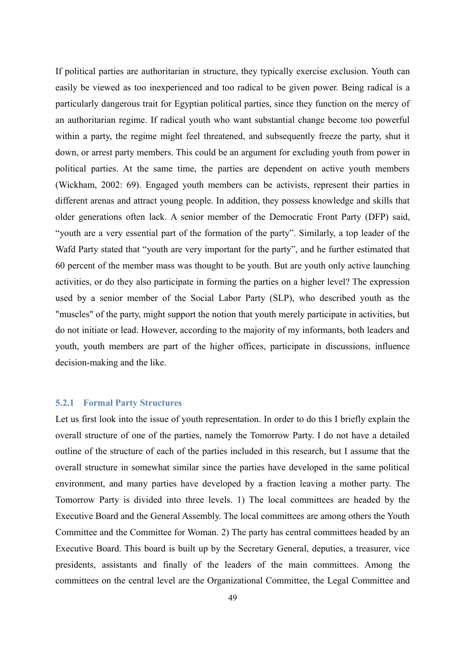If political parties are authoritarian in structure, they typically exercise exclusion. Youth can easily be viewed as too inexperienced and too radical to be given power. Being radical is a particularly dangerous trait for Egyptian political parties, since they function on the mercy of an authoritarian regime. If radical youth who want substantial change become too powerful within a party, the regime might feel threatened, and subsequently freeze the party, shut it down, or arrest party members. This could be an argument for excluding youth from power in political parties. At the same time, the parties are dependent on active youth members (Wickham, 2002: 69). Engaged youth members can be activists, represent their parties in different arenas and attract young people. In addition, they possess knowledge and skills that older generations often lack. A senior member of the Democratic Front Party (DFP) said, "youth are a very essential part of the formation of the party". Similarly, a top leader of the Wafd Party stated that "youth are very important for the party", and he further estimated that 60 percent of the member mass was thought to be youth. But are youth only active launching activities, or do they also participate in forming the parties on a higher level? The expression used by a senior member of the Social Labor Party (SLP), who described youth as the "muscles" of the party, might support the notion that youth merely participate in activities, but do not initiate or lead. However, according to the majority of my informants, both leaders and youth, youth members are part of the higher offices, participate in discussions, influence decision-making and the like.

#### **5.2.1 Formal Party Structures**

Let us first look into the issue of youth representation. In order to do this I briefly explain the overall structure of one of the parties, namely the Tomorrow Party. I do not have a detailed outline of the structure of each of the parties included in this research, but I assume that the overall structure in somewhat similar since the parties have developed in the same political environment, and many parties have developed by a fraction leaving a mother party. The Tomorrow Party is divided into three levels. 1) The local committees are headed by the Executive Board and the General Assembly. The local committees are among others the Youth Committee and the Committee for Woman. 2) The party has central committees headed by an Executive Board. This board is built up by the Secretary General, deputies, a treasurer, vice presidents, assistants and finally of the leaders of the main committees. Among the committees on the central level are the Organizational Committee, the Legal Committee and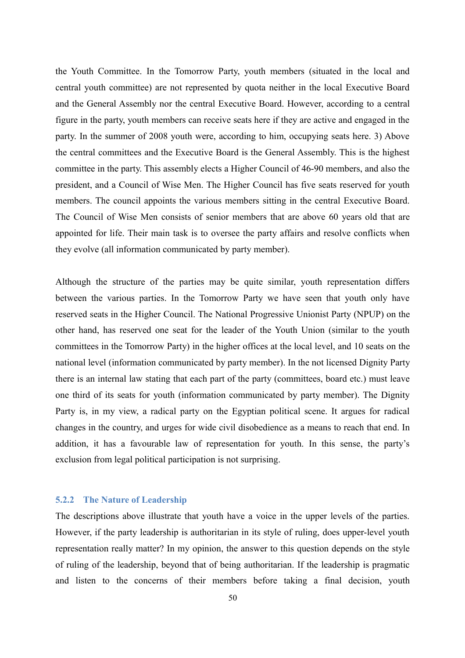the Youth Committee. In the Tomorrow Party, youth members (situated in the local and central youth committee) are not represented by quota neither in the local Executive Board and the General Assembly nor the central Executive Board. However, according to a central figure in the party, youth members can receive seats here if they are active and engaged in the party. In the summer of 2008 youth were, according to him, occupying seats here. 3) Above the central committees and the Executive Board is the General Assembly. This is the highest committee in the party. This assembly elects a Higher Council of 46-90 members, and also the president, and a Council of Wise Men. The Higher Council has five seats reserved for youth members. The council appoints the various members sitting in the central Executive Board. The Council of Wise Men consists of senior members that are above 60 years old that are appointed for life. Their main task is to oversee the party affairs and resolve conflicts when they evolve (all information communicated by party member).

Although the structure of the parties may be quite similar, youth representation differs between the various parties. In the Tomorrow Party we have seen that youth only have reserved seats in the Higher Council. The National Progressive Unionist Party (NPUP) on the other hand, has reserved one seat for the leader of the Youth Union (similar to the youth committees in the Tomorrow Party) in the higher offices at the local level, and 10 seats on the national level (information communicated by party member). In the not licensed Dignity Party there is an internal law stating that each part of the party (committees, board etc.) must leave one third of its seats for youth (information communicated by party member). The Dignity Party is, in my view, a radical party on the Egyptian political scene. It argues for radical changes in the country, and urges for wide civil disobedience as a means to reach that end. In addition, it has a favourable law of representation for youth. In this sense, the party's exclusion from legal political participation is not surprising.

## **5.2.2 The Nature of Leadership**

The descriptions above illustrate that youth have a voice in the upper levels of the parties. However, if the party leadership is authoritarian in its style of ruling, does upper-level youth representation really matter? In my opinion, the answer to this question depends on the style of ruling of the leadership, beyond that of being authoritarian. If the leadership is pragmatic and listen to the concerns of their members before taking a final decision, youth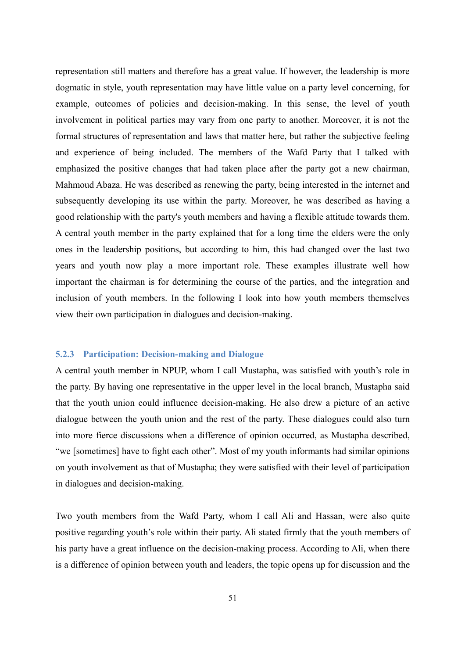representation still matters and therefore has a great value. If however, the leadership is more dogmatic in style, youth representation may have little value on a party level concerning, for example, outcomes of policies and decision-making. In this sense, the level of youth involvement in political parties may vary from one party to another. Moreover, it is not the formal structures of representation and laws that matter here, but rather the subjective feeling and experience of being included. The members of the Wafd Party that I talked with emphasized the positive changes that had taken place after the party got a new chairman, Mahmoud Abaza. He was described as renewing the party, being interested in the internet and subsequently developing its use within the party. Moreover, he was described as having a good relationship with the party's youth members and having a flexible attitude towards them. A central youth member in the party explained that for a long time the elders were the only ones in the leadership positions, but according to him, this had changed over the last two years and youth now play a more important role. These examples illustrate well how important the chairman is for determining the course of the parties, and the integration and inclusion of youth members. In the following I look into how youth members themselves view their own participation in dialogues and decision-making.

#### **5.2.3 Participation: Decision-making and Dialogue**

A central youth member in NPUP, whom I call Mustapha, was satisfied with youth's role in the party. By having one representative in the upper level in the local branch, Mustapha said that the youth union could influence decision-making. He also drew a picture of an active dialogue between the youth union and the rest of the party. These dialogues could also turn into more fierce discussions when a difference of opinion occurred, as Mustapha described, "we [sometimes] have to fight each other". Most of my youth informants had similar opinions on youth involvement as that of Mustapha; they were satisfied with their level of participation in dialogues and decision-making.

Two youth members from the Wafd Party, whom I call Ali and Hassan, were also quite positive regarding youth's role within their party. Ali stated firmly that the youth members of his party have a great influence on the decision-making process. According to Ali, when there is a difference of opinion between youth and leaders, the topic opens up for discussion and the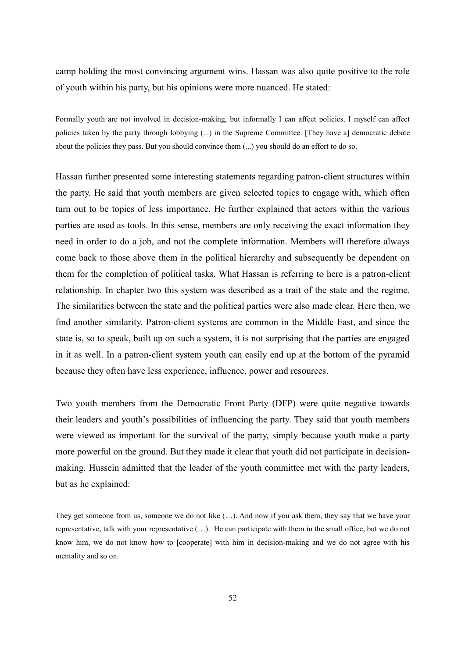camp holding the most convincing argument wins. Hassan was also quite positive to the role of youth within his party, but his opinions were more nuanced. He stated:

Formally youth are not involved in decision-making, but informally I can affect policies. I myself can affect policies taken by the party through lobbying (...) in the Supreme Committee. [They have a] democratic debate about the policies they pass. But you should convince them (...) you should do an effort to do so.

Hassan further presented some interesting statements regarding patron-client structures within the party. He said that youth members are given selected topics to engage with, which often turn out to be topics of less importance. He further explained that actors within the various parties are used as tools. In this sense, members are only receiving the exact information they need in order to do a job, and not the complete information. Members will therefore always come back to those above them in the political hierarchy and subsequently be dependent on them for the completion of political tasks. What Hassan is referring to here is a patron-client relationship. In chapter two this system was described as a trait of the state and the regime. The similarities between the state and the political parties were also made clear. Here then, we find another similarity. Patron-client systems are common in the Middle East, and since the state is, so to speak, built up on such a system, it is not surprising that the parties are engaged in it as well. In a patron-client system youth can easily end up at the bottom of the pyramid because they often have less experience, influence, power and resources.

Two youth members from the Democratic Front Party (DFP) were quite negative towards their leaders and youth's possibilities of influencing the party. They said that youth members were viewed as important for the survival of the party, simply because youth make a party more powerful on the ground. But they made it clear that youth did not participate in decisionmaking. Hussein admitted that the leader of the youth committee met with the party leaders, but as he explained:

They get someone from us, someone we do not like (…). And now if you ask them, they say that we have your representative, talk with your representative (…). He can participate with them in the small office, but we do not know him, we do not know how to [cooperate] with him in decision-making and we do not agree with his mentality and so on.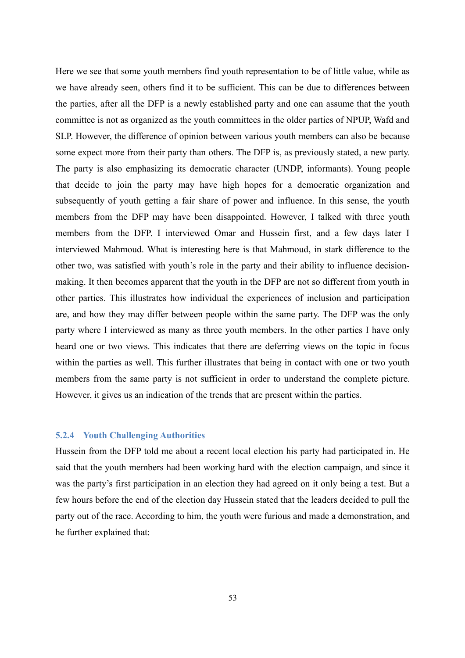Here we see that some youth members find youth representation to be of little value, while as we have already seen, others find it to be sufficient. This can be due to differences between the parties, after all the DFP is a newly established party and one can assume that the youth committee is not as organized as the youth committees in the older parties of NPUP, Wafd and SLP. However, the difference of opinion between various youth members can also be because some expect more from their party than others. The DFP is, as previously stated, a new party. The party is also emphasizing its democratic character (UNDP, informants). Young people that decide to join the party may have high hopes for a democratic organization and subsequently of youth getting a fair share of power and influence. In this sense, the youth members from the DFP may have been disappointed. However, I talked with three youth members from the DFP. I interviewed Omar and Hussein first, and a few days later I interviewed Mahmoud. What is interesting here is that Mahmoud, in stark difference to the other two, was satisfied with youth's role in the party and their ability to influence decisionmaking. It then becomes apparent that the youth in the DFP are not so different from youth in other parties. This illustrates how individual the experiences of inclusion and participation are, and how they may differ between people within the same party. The DFP was the only party where I interviewed as many as three youth members. In the other parties I have only heard one or two views. This indicates that there are deferring views on the topic in focus within the parties as well. This further illustrates that being in contact with one or two youth members from the same party is not sufficient in order to understand the complete picture. However, it gives us an indication of the trends that are present within the parties.

#### **5.2.4 Youth Challenging Authorities**

Hussein from the DFP told me about a recent local election his party had participated in. He said that the youth members had been working hard with the election campaign, and since it was the party's first participation in an election they had agreed on it only being a test. But a few hours before the end of the election day Hussein stated that the leaders decided to pull the party out of the race. According to him, the youth were furious and made a demonstration, and he further explained that: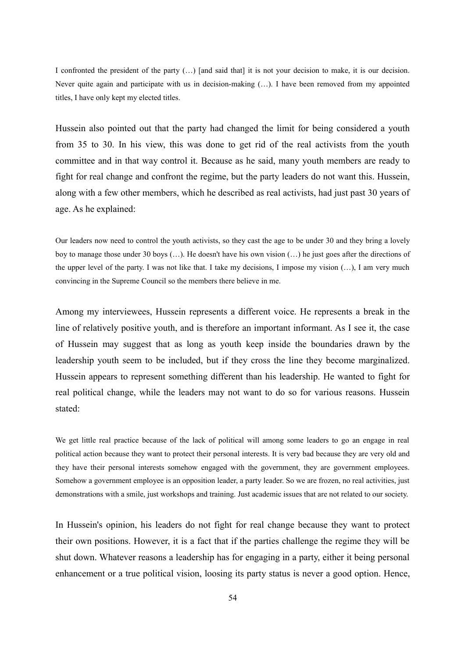I confronted the president of the party (…) [and said that] it is not your decision to make, it is our decision. Never quite again and participate with us in decision-making (...). I have been removed from my appointed titles, I have only kept my elected titles.

Hussein also pointed out that the party had changed the limit for being considered a youth from 35 to 30. In his view, this was done to get rid of the real activists from the youth committee and in that way control it. Because as he said, many youth members are ready to fight for real change and confront the regime, but the party leaders do not want this. Hussein, along with a few other members, which he described as real activists, had just past 30 years of age. As he explained:

Our leaders now need to control the youth activists, so they cast the age to be under 30 and they bring a lovely boy to manage those under 30 boys (…). He doesn't have his own vision (…) he just goes after the directions of the upper level of the party. I was not like that. I take my decisions, I impose my vision (…), I am very much convincing in the Supreme Council so the members there believe in me.

Among my interviewees, Hussein represents a different voice. He represents a break in the line of relatively positive youth, and is therefore an important informant. As I see it, the case of Hussein may suggest that as long as youth keep inside the boundaries drawn by the leadership youth seem to be included, but if they cross the line they become marginalized. Hussein appears to represent something different than his leadership. He wanted to fight for real political change, while the leaders may not want to do so for various reasons. Hussein stated:

We get little real practice because of the lack of political will among some leaders to go an engage in real political action because they want to protect their personal interests. It is very bad because they are very old and they have their personal interests somehow engaged with the government, they are government employees. Somehow a government employee is an opposition leader, a party leader. So we are frozen, no real activities, just demonstrations with a smile, just workshops and training. Just academic issues that are not related to our society.

In Hussein's opinion, his leaders do not fight for real change because they want to protect their own positions. However, it is a fact that if the parties challenge the regime they will be shut down. Whatever reasons a leadership has for engaging in a party, either it being personal enhancement or a true political vision, loosing its party status is never a good option. Hence,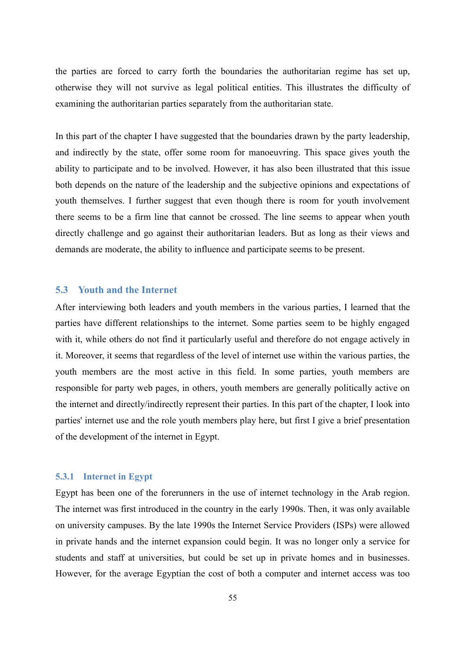the parties are forced to carry forth the boundaries the authoritarian regime has set up, otherwise they will not survive as legal political entities. This illustrates the difficulty of examining the authoritarian parties separately from the authoritarian state.

In this part of the chapter I have suggested that the boundaries drawn by the party leadership, and indirectly by the state, offer some room for manoeuvring. This space gives youth the ability to participate and to be involved. However, it has also been illustrated that this issue both depends on the nature of the leadership and the subjective opinions and expectations of youth themselves. I further suggest that even though there is room for youth involvement there seems to be a firm line that cannot be crossed. The line seems to appear when youth directly challenge and go against their authoritarian leaders. But as long as their views and demands are moderate, the ability to influence and participate seems to be present.

# **5.3 Youth and the Internet**

After interviewing both leaders and youth members in the various parties, I learned that the parties have different relationships to the internet. Some parties seem to be highly engaged with it, while others do not find it particularly useful and therefore do not engage actively in it. Moreover, it seems that regardless of the level of internet use within the various parties, the youth members are the most active in this field. In some parties, youth members are responsible for party web pages, in others, youth members are generally politically active on the internet and directly/indirectly represent their parties. In this part of the chapter, I look into parties' internet use and the role youth members play here, but first I give a brief presentation of the development of the internet in Egypt.

# **5.3.1 Internet in Egypt**

Egypt has been one of the forerunners in the use of internet technology in the Arab region. The internet was first introduced in the country in the early 1990s. Then, it was only available on university campuses. By the late 1990s the Internet Service Providers (ISPs) were allowed in private hands and the internet expansion could begin. It was no longer only a service for students and staff at universities, but could be set up in private homes and in businesses. However, for the average Egyptian the cost of both a computer and internet access was too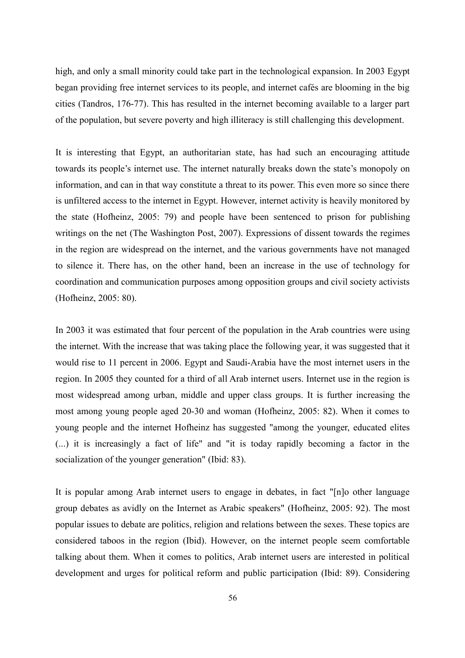high, and only a small minority could take part in the technological expansion. In 2003 Egypt began providing free internet services to its people, and internet cafés are blooming in the big cities (Tandros, 176-77). This has resulted in the internet becoming available to a larger part of the population, but severe poverty and high illiteracy is still challenging this development.

It is interesting that Egypt, an authoritarian state, has had such an encouraging attitude towards its people's internet use. The internet naturally breaks down the state's monopoly on information, and can in that way constitute a threat to its power. This even more so since there is unfiltered access to the internet in Egypt. However, internet activity is heavily monitored by the state (Hofheinz, 2005: 79) and people have been sentenced to prison for publishing writings on the net (The Washington Post, 2007). Expressions of dissent towards the regimes in the region are widespread on the internet, and the various governments have not managed to silence it. There has, on the other hand, been an increase in the use of technology for coordination and communication purposes among opposition groups and civil society activists (Hofheinz, 2005: 80).

In 2003 it was estimated that four percent of the population in the Arab countries were using the internet. With the increase that was taking place the following year, it was suggested that it would rise to 11 percent in 2006. Egypt and Saudi-Arabia have the most internet users in the region. In 2005 they counted for a third of all Arab internet users. Internet use in the region is most widespread among urban, middle and upper class groups. It is further increasing the most among young people aged 20-30 and woman (Hofheinz, 2005: 82). When it comes to young people and the internet Hofheinz has suggested "among the younger, educated elites (...) it is increasingly a fact of life" and "it is today rapidly becoming a factor in the socialization of the younger generation" (Ibid: 83).

It is popular among Arab internet users to engage in debates, in fact "[n]o other language group debates as avidly on the Internet as Arabic speakers" (Hofheinz, 2005: 92). The most popular issues to debate are politics, religion and relations between the sexes. These topics are considered taboos in the region (Ibid). However, on the internet people seem comfortable talking about them. When it comes to politics, Arab internet users are interested in political development and urges for political reform and public participation (Ibid: 89). Considering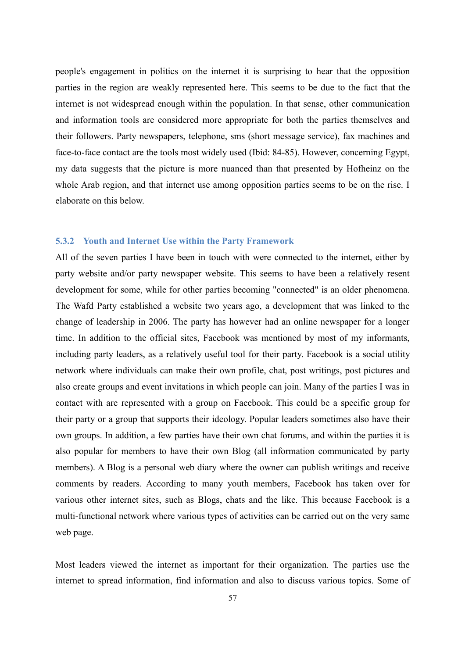people's engagement in politics on the internet it is surprising to hear that the opposition parties in the region are weakly represented here. This seems to be due to the fact that the internet is not widespread enough within the population. In that sense, other communication and information tools are considered more appropriate for both the parties themselves and their followers. Party newspapers, telephone, sms (short message service), fax machines and face-to-face contact are the tools most widely used (Ibid: 84-85). However, concerning Egypt, my data suggests that the picture is more nuanced than that presented by Hofheinz on the whole Arab region, and that internet use among opposition parties seems to be on the rise. I elaborate on this below.

#### **5.3.2 Youth and Internet Use within the Party Framework**

All of the seven parties I have been in touch with were connected to the internet, either by party website and/or party newspaper website. This seems to have been a relatively resent development for some, while for other parties becoming "connected" is an older phenomena. The Wafd Party established a website two years ago, a development that was linked to the change of leadership in 2006. The party has however had an online newspaper for a longer time. In addition to the official sites, Facebook was mentioned by most of my informants, including party leaders, as a relatively useful tool for their party. Facebook is a social utility network where individuals can make their own profile, chat, post writings, post pictures and also create groups and event invitations in which people can join. Many of the parties I was in contact with are represented with a group on Facebook. This could be a specific group for their party or a group that supports their ideology. Popular leaders sometimes also have their own groups. In addition, a few parties have their own chat forums, and within the parties it is also popular for members to have their own Blog (all information communicated by party members). A Blog is a personal web diary where the owner can publish writings and receive comments by readers. According to many youth members, Facebook has taken over for various other internet sites, such as Blogs, chats and the like. This because Facebook is a multi-functional network where various types of activities can be carried out on the very same web page.

Most leaders viewed the internet as important for their organization. The parties use the internet to spread information, find information and also to discuss various topics. Some of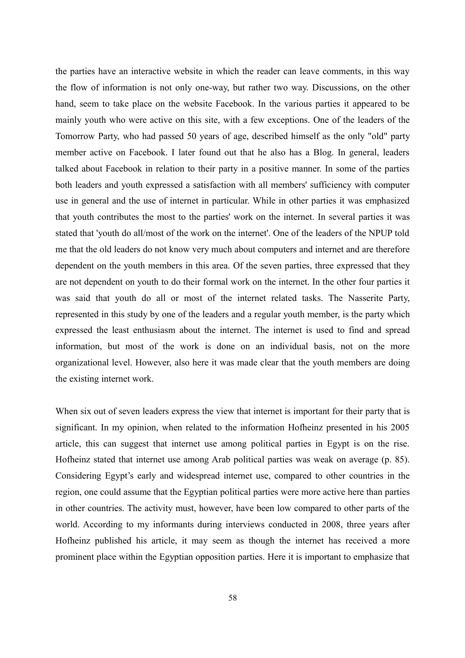the parties have an interactive website in which the reader can leave comments, in this way the flow of information is not only one-way, but rather two way. Discussions, on the other hand, seem to take place on the website Facebook. In the various parties it appeared to be mainly youth who were active on this site, with a few exceptions. One of the leaders of the Tomorrow Party, who had passed 50 years of age, described himself as the only "old" party member active on Facebook. I later found out that he also has a Blog. In general, leaders talked about Facebook in relation to their party in a positive manner. In some of the parties both leaders and youth expressed a satisfaction with all members' sufficiency with computer use in general and the use of internet in particular. While in other parties it was emphasized that youth contributes the most to the parties' work on the internet. In several parties it was stated that 'youth do all/most of the work on the internet'. One of the leaders of the NPUP told me that the old leaders do not know very much about computers and internet and are therefore dependent on the youth members in this area. Of the seven parties, three expressed that they are not dependent on youth to do their formal work on the internet. In the other four parties it was said that youth do all or most of the internet related tasks. The Nasserite Party, represented in this study by one of the leaders and a regular youth member, is the party which expressed the least enthusiasm about the internet. The internet is used to find and spread information, but most of the work is done on an individual basis, not on the more organizational level. However, also here it was made clear that the youth members are doing the existing internet work.

When six out of seven leaders express the view that internet is important for their party that is significant. In my opinion, when related to the information Hofheinz presented in his 2005 article, this can suggest that internet use among political parties in Egypt is on the rise. Hofheinz stated that internet use among Arab political parties was weak on average (p. 85). Considering Egypt's early and widespread internet use, compared to other countries in the region, one could assume that the Egyptian political parties were more active here than parties in other countries. The activity must, however, have been low compared to other parts of the world. According to my informants during interviews conducted in 2008, three years after Hofheinz published his article, it may seem as though the internet has received a more prominent place within the Egyptian opposition parties. Here it is important to emphasize that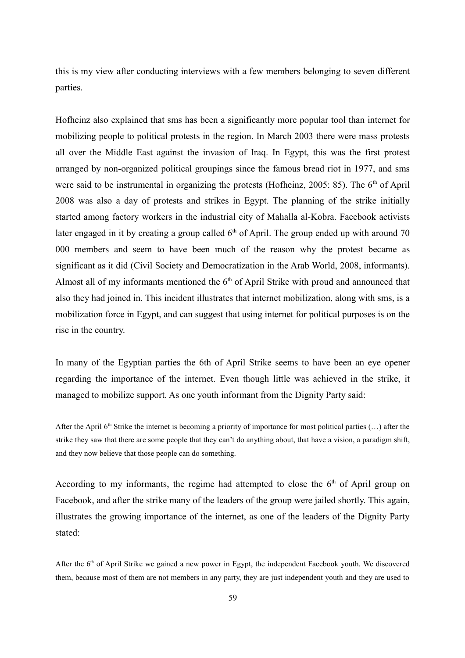this is my view after conducting interviews with a few members belonging to seven different parties.

Hofheinz also explained that sms has been a significantly more popular tool than internet for mobilizing people to political protests in the region. In March 2003 there were mass protests all over the Middle East against the invasion of Iraq. In Egypt, this was the first protest arranged by non-organized political groupings since the famous bread riot in 1977, and sms were said to be instrumental in organizing the protests (Hofheinz, 2005: 85). The  $6<sup>th</sup>$  of April 2008 was also a day of protests and strikes in Egypt. The planning of the strike initially started among factory workers in the industrial city of Mahalla al-Kobra. Facebook activists later engaged in it by creating a group called  $6<sup>th</sup>$  of April. The group ended up with around 70 000 members and seem to have been much of the reason why the protest became as significant as it did (Civil Society and Democratization in the Arab World, 2008, informants). Almost all of my informants mentioned the  $6<sup>th</sup>$  of April Strike with proud and announced that also they had joined in. This incident illustrates that internet mobilization, along with sms, is a mobilization force in Egypt, and can suggest that using internet for political purposes is on the rise in the country.

In many of the Egyptian parties the 6th of April Strike seems to have been an eye opener regarding the importance of the internet. Even though little was achieved in the strike, it managed to mobilize support. As one youth informant from the Dignity Party said:

After the April  $6<sup>th</sup>$  Strike the internet is becoming a priority of importance for most political parties  $(...)$  after the strike they saw that there are some people that they can't do anything about, that have a vision, a paradigm shift, and they now believe that those people can do something.

According to my informants, the regime had attempted to close the  $6<sup>th</sup>$  of April group on Facebook, and after the strike many of the leaders of the group were jailed shortly. This again, illustrates the growing importance of the internet, as one of the leaders of the Dignity Party stated:

After the  $6<sup>th</sup>$  of April Strike we gained a new power in Egypt, the independent Facebook youth. We discovered them, because most of them are not members in any party, they are just independent youth and they are used to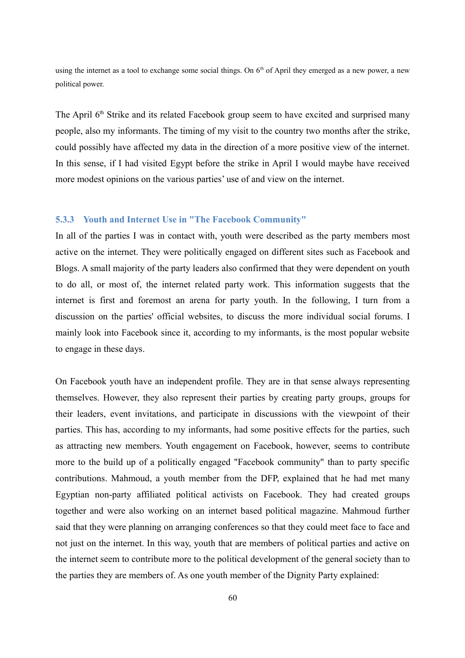using the internet as a tool to exchange some social things. On 6<sup>th</sup> of April they emerged as a new power, a new political power.

The April  $6<sup>th</sup>$  Strike and its related Facebook group seem to have excited and surprised many people, also my informants. The timing of my visit to the country two months after the strike, could possibly have affected my data in the direction of a more positive view of the internet. In this sense, if I had visited Egypt before the strike in April I would maybe have received more modest opinions on the various parties' use of and view on the internet.

#### **5.3.3 Youth and Internet Use in "The Facebook Community"**

In all of the parties I was in contact with, youth were described as the party members most active on the internet. They were politically engaged on different sites such as Facebook and Blogs. A small majority of the party leaders also confirmed that they were dependent on youth to do all, or most of, the internet related party work. This information suggests that the internet is first and foremost an arena for party youth. In the following, I turn from a discussion on the parties' official websites, to discuss the more individual social forums. I mainly look into Facebook since it, according to my informants, is the most popular website to engage in these days.

On Facebook youth have an independent profile. They are in that sense always representing themselves. However, they also represent their parties by creating party groups, groups for their leaders, event invitations, and participate in discussions with the viewpoint of their parties. This has, according to my informants, had some positive effects for the parties, such as attracting new members. Youth engagement on Facebook, however, seems to contribute more to the build up of a politically engaged "Facebook community" than to party specific contributions. Mahmoud, a youth member from the DFP, explained that he had met many Egyptian non-party affiliated political activists on Facebook. They had created groups together and were also working on an internet based political magazine. Mahmoud further said that they were planning on arranging conferences so that they could meet face to face and not just on the internet. In this way, youth that are members of political parties and active on the internet seem to contribute more to the political development of the general society than to the parties they are members of. As one youth member of the Dignity Party explained: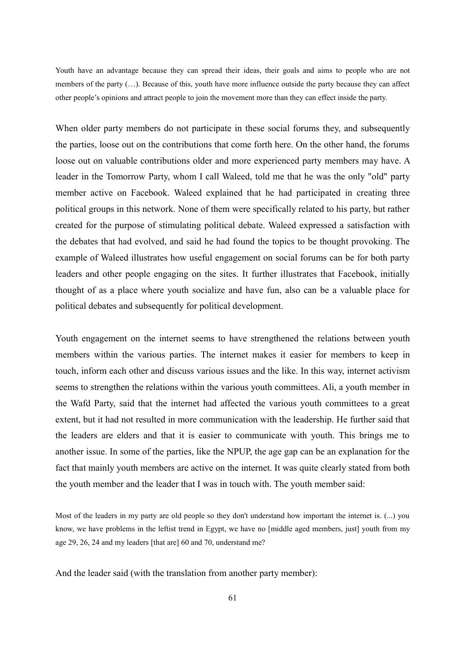Youth have an advantage because they can spread their ideas, their goals and aims to people who are not members of the party (…). Because of this, youth have more influence outside the party because they can affect other people's opinions and attract people to join the movement more than they can effect inside the party.

When older party members do not participate in these social forums they, and subsequently the parties, loose out on the contributions that come forth here. On the other hand, the forums loose out on valuable contributions older and more experienced party members may have. A leader in the Tomorrow Party, whom I call Waleed, told me that he was the only "old" party member active on Facebook. Waleed explained that he had participated in creating three political groups in this network. None of them were specifically related to his party, but rather created for the purpose of stimulating political debate. Waleed expressed a satisfaction with the debates that had evolved, and said he had found the topics to be thought provoking. The example of Waleed illustrates how useful engagement on social forums can be for both party leaders and other people engaging on the sites. It further illustrates that Facebook, initially thought of as a place where youth socialize and have fun, also can be a valuable place for political debates and subsequently for political development.

Youth engagement on the internet seems to have strengthened the relations between youth members within the various parties. The internet makes it easier for members to keep in touch, inform each other and discuss various issues and the like. In this way, internet activism seems to strengthen the relations within the various youth committees. Ali, a youth member in the Wafd Party, said that the internet had affected the various youth committees to a great extent, but it had not resulted in more communication with the leadership. He further said that the leaders are elders and that it is easier to communicate with youth. This brings me to another issue. In some of the parties, like the NPUP, the age gap can be an explanation for the fact that mainly youth members are active on the internet. It was quite clearly stated from both the youth member and the leader that I was in touch with. The youth member said:

Most of the leaders in my party are old people so they don't understand how important the internet is. (...) you know, we have problems in the leftist trend in Egypt, we have no [middle aged members, just] youth from my age 29, 26, 24 and my leaders [that are] 60 and 70, understand me?

And the leader said (with the translation from another party member):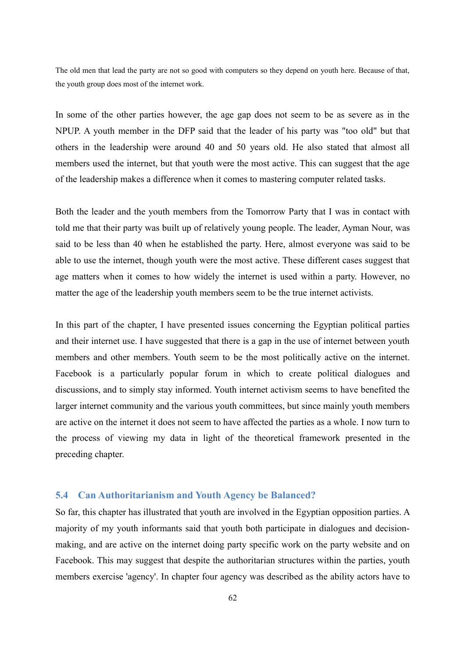The old men that lead the party are not so good with computers so they depend on youth here. Because of that, the youth group does most of the internet work.

In some of the other parties however, the age gap does not seem to be as severe as in the NPUP. A youth member in the DFP said that the leader of his party was "too old" but that others in the leadership were around 40 and 50 years old. He also stated that almost all members used the internet, but that youth were the most active. This can suggest that the age of the leadership makes a difference when it comes to mastering computer related tasks.

Both the leader and the youth members from the Tomorrow Party that I was in contact with told me that their party was built up of relatively young people. The leader, Ayman Nour, was said to be less than 40 when he established the party. Here, almost everyone was said to be able to use the internet, though youth were the most active. These different cases suggest that age matters when it comes to how widely the internet is used within a party. However, no matter the age of the leadership youth members seem to be the true internet activists.

In this part of the chapter, I have presented issues concerning the Egyptian political parties and their internet use. I have suggested that there is a gap in the use of internet between youth members and other members. Youth seem to be the most politically active on the internet. Facebook is a particularly popular forum in which to create political dialogues and discussions, and to simply stay informed. Youth internet activism seems to have benefited the larger internet community and the various youth committees, but since mainly youth members are active on the internet it does not seem to have affected the parties as a whole. I now turn to the process of viewing my data in light of the theoretical framework presented in the preceding chapter.

# **5.4 Can Authoritarianism and Youth Agency be Balanced?**

So far, this chapter has illustrated that youth are involved in the Egyptian opposition parties. A majority of my youth informants said that youth both participate in dialogues and decisionmaking, and are active on the internet doing party specific work on the party website and on Facebook. This may suggest that despite the authoritarian structures within the parties, youth members exercise 'agency'. In chapter four agency was described as the ability actors have to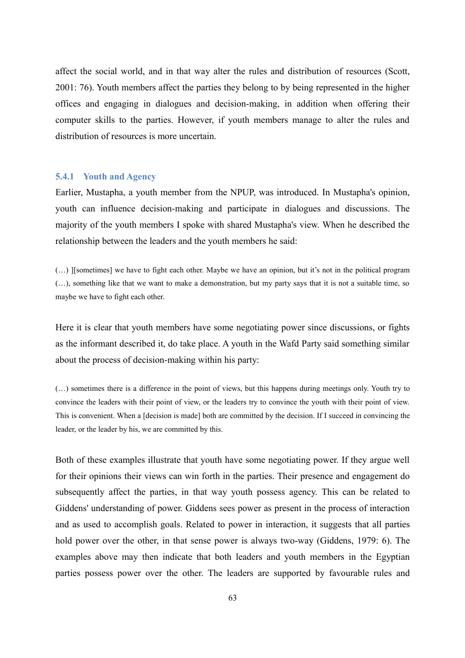affect the social world, and in that way alter the rules and distribution of resources (Scott, 2001: 76). Youth members affect the parties they belong to by being represented in the higher offices and engaging in dialogues and decision-making, in addition when offering their computer skills to the parties. However, if youth members manage to alter the rules and distribution of resources is more uncertain.

#### **5.4.1 Youth and Agency**

Earlier, Mustapha, a youth member from the NPUP, was introduced. In Mustapha's opinion, youth can influence decision-making and participate in dialogues and discussions. The majority of the youth members I spoke with shared Mustapha's view. When he described the relationship between the leaders and the youth members he said:

(…) ][sometimes] we have to fight each other. Maybe we have an opinion, but it's not in the political program (…), something like that we want to make a demonstration, but my party says that it is not a suitable time, so maybe we have to fight each other.

Here it is clear that youth members have some negotiating power since discussions, or fights as the informant described it, do take place. A youth in the Wafd Party said something similar about the process of decision-making within his party:

(…) sometimes there is a difference in the point of views, but this happens during meetings only. Youth try to convince the leaders with their point of view, or the leaders try to convince the youth with their point of view. This is convenient. When a [decision is made] both are committed by the decision. If I succeed in convincing the leader, or the leader by his, we are committed by this.

Both of these examples illustrate that youth have some negotiating power. If they argue well for their opinions their views can win forth in the parties. Their presence and engagement do subsequently affect the parties, in that way youth possess agency. This can be related to Giddens' understanding of power. Giddens sees power as present in the process of interaction and as used to accomplish goals. Related to power in interaction, it suggests that all parties hold power over the other, in that sense power is always two-way (Giddens, 1979: 6). The examples above may then indicate that both leaders and youth members in the Egyptian parties possess power over the other. The leaders are supported by favourable rules and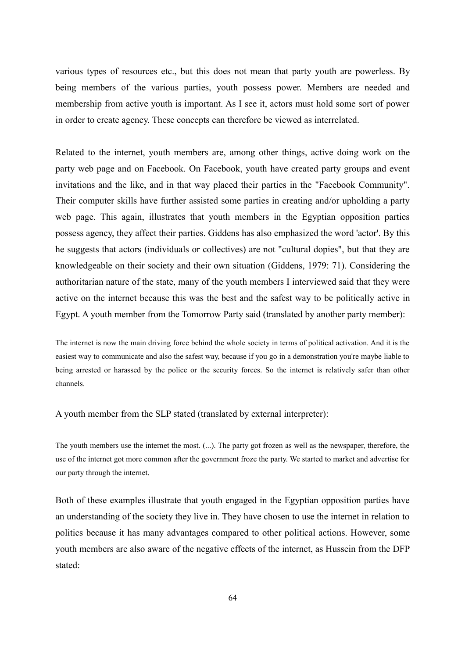various types of resources etc., but this does not mean that party youth are powerless. By being members of the various parties, youth possess power. Members are needed and membership from active youth is important. As I see it, actors must hold some sort of power in order to create agency. These concepts can therefore be viewed as interrelated.

Related to the internet, youth members are, among other things, active doing work on the party web page and on Facebook. On Facebook, youth have created party groups and event invitations and the like, and in that way placed their parties in the "Facebook Community". Their computer skills have further assisted some parties in creating and/or upholding a party web page. This again, illustrates that youth members in the Egyptian opposition parties possess agency, they affect their parties. Giddens has also emphasized the word 'actor'. By this he suggests that actors (individuals or collectives) are not "cultural dopies", but that they are knowledgeable on their society and their own situation (Giddens, 1979: 71). Considering the authoritarian nature of the state, many of the youth members I interviewed said that they were active on the internet because this was the best and the safest way to be politically active in Egypt. A youth member from the Tomorrow Party said (translated by another party member):

The internet is now the main driving force behind the whole society in terms of political activation. And it is the easiest way to communicate and also the safest way, because if you go in a demonstration you're maybe liable to being arrested or harassed by the police or the security forces. So the internet is relatively safer than other channels.

A youth member from the SLP stated (translated by external interpreter):

The youth members use the internet the most. (...). The party got frozen as well as the newspaper, therefore, the use of the internet got more common after the government froze the party. We started to market and advertise for our party through the internet.

Both of these examples illustrate that youth engaged in the Egyptian opposition parties have an understanding of the society they live in. They have chosen to use the internet in relation to politics because it has many advantages compared to other political actions. However, some youth members are also aware of the negative effects of the internet, as Hussein from the DFP stated: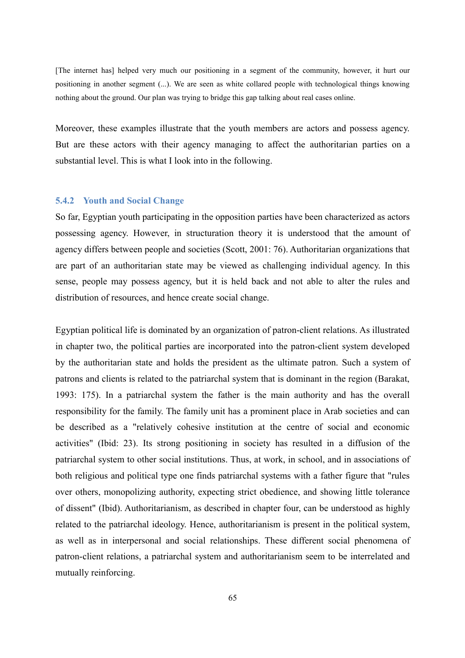[The internet has] helped very much our positioning in a segment of the community, however, it hurt our positioning in another segment (...). We are seen as white collared people with technological things knowing nothing about the ground. Our plan was trying to bridge this gap talking about real cases online.

Moreover, these examples illustrate that the youth members are actors and possess agency. But are these actors with their agency managing to affect the authoritarian parties on a substantial level. This is what I look into in the following.

# **5.4.2 Youth and Social Change**

So far, Egyptian youth participating in the opposition parties have been characterized as actors possessing agency. However, in structuration theory it is understood that the amount of agency differs between people and societies (Scott, 2001: 76). Authoritarian organizations that are part of an authoritarian state may be viewed as challenging individual agency. In this sense, people may possess agency, but it is held back and not able to alter the rules and distribution of resources, and hence create social change.

Egyptian political life is dominated by an organization of patron-client relations. As illustrated in chapter two, the political parties are incorporated into the patron-client system developed by the authoritarian state and holds the president as the ultimate patron. Such a system of patrons and clients is related to the patriarchal system that is dominant in the region (Barakat, 1993: 175). In a patriarchal system the father is the main authority and has the overall responsibility for the family. The family unit has a prominent place in Arab societies and can be described as a "relatively cohesive institution at the centre of social and economic activities" (Ibid: 23). Its strong positioning in society has resulted in a diffusion of the patriarchal system to other social institutions. Thus, at work, in school, and in associations of both religious and political type one finds patriarchal systems with a father figure that "rules over others, monopolizing authority, expecting strict obedience, and showing little tolerance of dissent" (Ibid). Authoritarianism, as described in chapter four, can be understood as highly related to the patriarchal ideology. Hence, authoritarianism is present in the political system, as well as in interpersonal and social relationships. These different social phenomena of patron-client relations, a patriarchal system and authoritarianism seem to be interrelated and mutually reinforcing.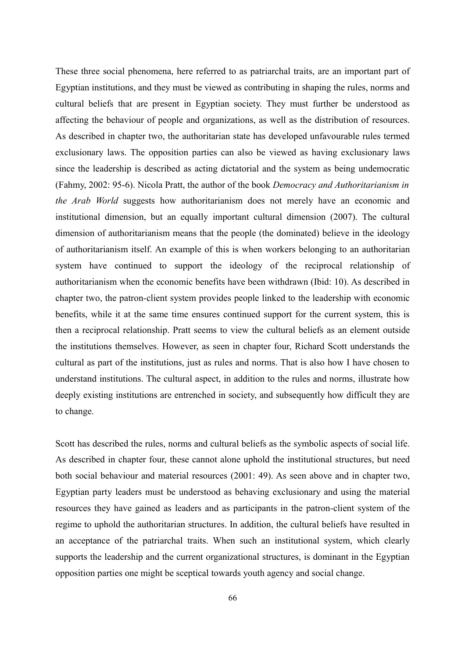These three social phenomena, here referred to as patriarchal traits, are an important part of Egyptian institutions, and they must be viewed as contributing in shaping the rules, norms and cultural beliefs that are present in Egyptian society. They must further be understood as affecting the behaviour of people and organizations, as well as the distribution of resources. As described in chapter two, the authoritarian state has developed unfavourable rules termed exclusionary laws. The opposition parties can also be viewed as having exclusionary laws since the leadership is described as acting dictatorial and the system as being undemocratic (Fahmy, 2002: 95-6). Nicola Pratt, the author of the book *Democracy and Authoritarianism in the Arab World* suggests how authoritarianism does not merely have an economic and institutional dimension, but an equally important cultural dimension (2007). The cultural dimension of authoritarianism means that the people (the dominated) believe in the ideology of authoritarianism itself. An example of this is when workers belonging to an authoritarian system have continued to support the ideology of the reciprocal relationship of authoritarianism when the economic benefits have been withdrawn (Ibid: 10). As described in chapter two, the patron-client system provides people linked to the leadership with economic benefits, while it at the same time ensures continued support for the current system, this is then a reciprocal relationship. Pratt seems to view the cultural beliefs as an element outside the institutions themselves. However, as seen in chapter four, Richard Scott understands the cultural as part of the institutions, just as rules and norms. That is also how I have chosen to understand institutions. The cultural aspect, in addition to the rules and norms, illustrate how deeply existing institutions are entrenched in society, and subsequently how difficult they are to change.

Scott has described the rules, norms and cultural beliefs as the symbolic aspects of social life. As described in chapter four, these cannot alone uphold the institutional structures, but need both social behaviour and material resources (2001: 49). As seen above and in chapter two, Egyptian party leaders must be understood as behaving exclusionary and using the material resources they have gained as leaders and as participants in the patron-client system of the regime to uphold the authoritarian structures. In addition, the cultural beliefs have resulted in an acceptance of the patriarchal traits. When such an institutional system, which clearly supports the leadership and the current organizational structures, is dominant in the Egyptian opposition parties one might be sceptical towards youth agency and social change.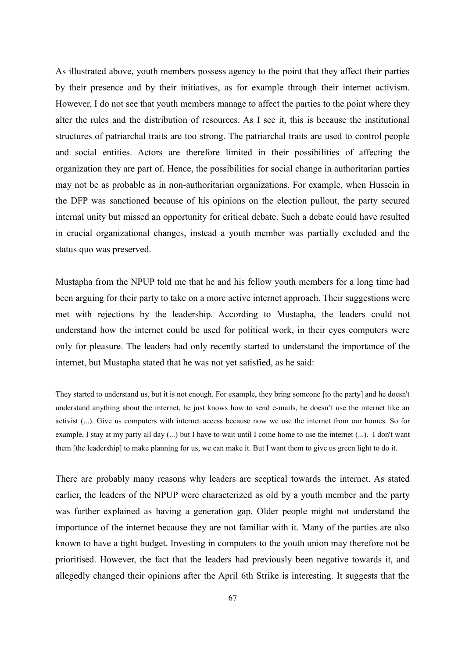As illustrated above, youth members possess agency to the point that they affect their parties by their presence and by their initiatives, as for example through their internet activism. However, I do not see that youth members manage to affect the parties to the point where they alter the rules and the distribution of resources. As I see it, this is because the institutional structures of patriarchal traits are too strong. The patriarchal traits are used to control people and social entities. Actors are therefore limited in their possibilities of affecting the organization they are part of. Hence, the possibilities for social change in authoritarian parties may not be as probable as in non-authoritarian organizations. For example, when Hussein in the DFP was sanctioned because of his opinions on the election pullout, the party secured internal unity but missed an opportunity for critical debate. Such a debate could have resulted in crucial organizational changes, instead a youth member was partially excluded and the status quo was preserved.

Mustapha from the NPUP told me that he and his fellow youth members for a long time had been arguing for their party to take on a more active internet approach. Their suggestions were met with rejections by the leadership. According to Mustapha, the leaders could not understand how the internet could be used for political work, in their eyes computers were only for pleasure. The leaders had only recently started to understand the importance of the internet, but Mustapha stated that he was not yet satisfied, as he said:

They started to understand us, but it is not enough. For example, they bring someone [to the party] and he doesn't understand anything about the internet, he just knows how to send e-mails, he doesn't use the internet like an activist (...). Give us computers with internet access because now we use the internet from our homes. So for example, I stay at my party all day (...) but I have to wait until I come home to use the internet (...). I don't want them [the leadership] to make planning for us, we can make it. But I want them to give us green light to do it.

There are probably many reasons why leaders are sceptical towards the internet. As stated earlier, the leaders of the NPUP were characterized as old by a youth member and the party was further explained as having a generation gap. Older people might not understand the importance of the internet because they are not familiar with it. Many of the parties are also known to have a tight budget. Investing in computers to the youth union may therefore not be prioritised. However, the fact that the leaders had previously been negative towards it, and allegedly changed their opinions after the April 6th Strike is interesting. It suggests that the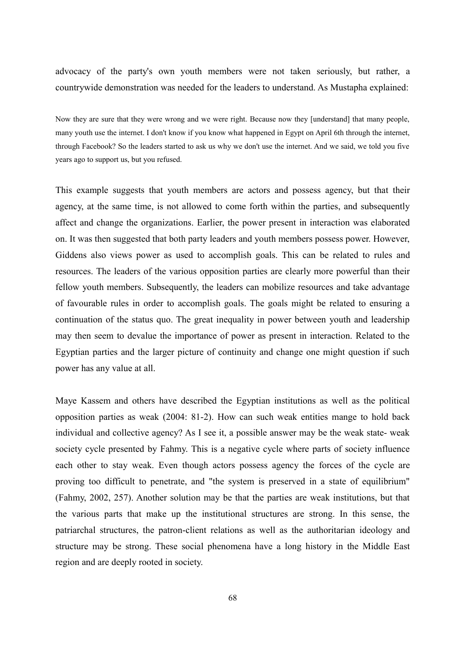advocacy of the party's own youth members were not taken seriously, but rather, a countrywide demonstration was needed for the leaders to understand. As Mustapha explained:

Now they are sure that they were wrong and we were right. Because now they [understand] that many people, many youth use the internet. I don't know if you know what happened in Egypt on April 6th through the internet, through Facebook? So the leaders started to ask us why we don't use the internet. And we said, we told you five years ago to support us, but you refused.

This example suggests that youth members are actors and possess agency, but that their agency, at the same time, is not allowed to come forth within the parties, and subsequently affect and change the organizations. Earlier, the power present in interaction was elaborated on. It was then suggested that both party leaders and youth members possess power. However, Giddens also views power as used to accomplish goals. This can be related to rules and resources. The leaders of the various opposition parties are clearly more powerful than their fellow youth members. Subsequently, the leaders can mobilize resources and take advantage of favourable rules in order to accomplish goals. The goals might be related to ensuring a continuation of the status quo. The great inequality in power between youth and leadership may then seem to devalue the importance of power as present in interaction. Related to the Egyptian parties and the larger picture of continuity and change one might question if such power has any value at all.

Maye Kassem and others have described the Egyptian institutions as well as the political opposition parties as weak (2004: 81-2). How can such weak entities mange to hold back individual and collective agency? As I see it, a possible answer may be the weak state- weak society cycle presented by Fahmy. This is a negative cycle where parts of society influence each other to stay weak. Even though actors possess agency the forces of the cycle are proving too difficult to penetrate, and "the system is preserved in a state of equilibrium" (Fahmy, 2002, 257). Another solution may be that the parties are weak institutions, but that the various parts that make up the institutional structures are strong. In this sense, the patriarchal structures, the patron-client relations as well as the authoritarian ideology and structure may be strong. These social phenomena have a long history in the Middle East region and are deeply rooted in society.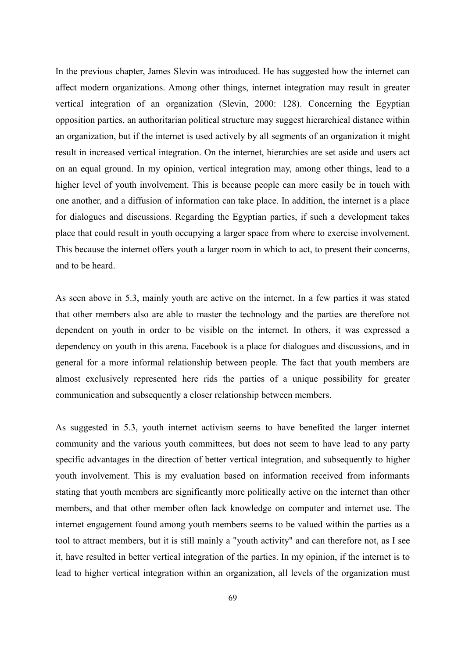In the previous chapter, James Slevin was introduced. He has suggested how the internet can affect modern organizations. Among other things, internet integration may result in greater vertical integration of an organization (Slevin, 2000: 128). Concerning the Egyptian opposition parties, an authoritarian political structure may suggest hierarchical distance within an organization, but if the internet is used actively by all segments of an organization it might result in increased vertical integration. On the internet, hierarchies are set aside and users act on an equal ground. In my opinion, vertical integration may, among other things, lead to a higher level of youth involvement. This is because people can more easily be in touch with one another, and a diffusion of information can take place. In addition, the internet is a place for dialogues and discussions. Regarding the Egyptian parties, if such a development takes place that could result in youth occupying a larger space from where to exercise involvement. This because the internet offers youth a larger room in which to act, to present their concerns, and to be heard.

As seen above in 5.3, mainly youth are active on the internet. In a few parties it was stated that other members also are able to master the technology and the parties are therefore not dependent on youth in order to be visible on the internet. In others, it was expressed a dependency on youth in this arena. Facebook is a place for dialogues and discussions, and in general for a more informal relationship between people. The fact that youth members are almost exclusively represented here rids the parties of a unique possibility for greater communication and subsequently a closer relationship between members.

As suggested in 5.3, youth internet activism seems to have benefited the larger internet community and the various youth committees, but does not seem to have lead to any party specific advantages in the direction of better vertical integration, and subsequently to higher youth involvement. This is my evaluation based on information received from informants stating that youth members are significantly more politically active on the internet than other members, and that other member often lack knowledge on computer and internet use. The internet engagement found among youth members seems to be valued within the parties as a tool to attract members, but it is still mainly a "youth activity" and can therefore not, as I see it, have resulted in better vertical integration of the parties. In my opinion, if the internet is to lead to higher vertical integration within an organization, all levels of the organization must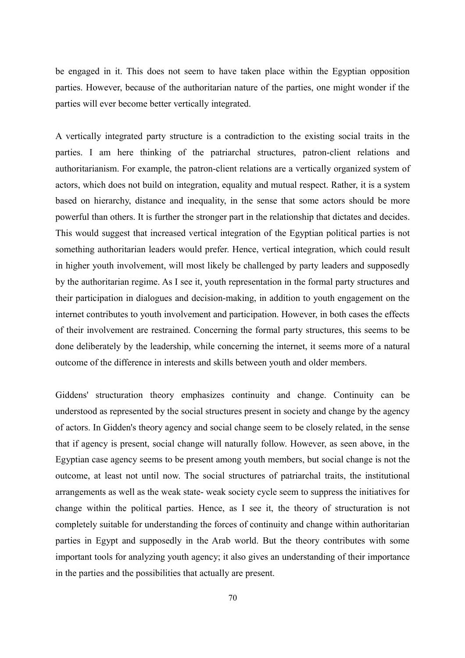be engaged in it. This does not seem to have taken place within the Egyptian opposition parties. However, because of the authoritarian nature of the parties, one might wonder if the parties will ever become better vertically integrated.

A vertically integrated party structure is a contradiction to the existing social traits in the parties. I am here thinking of the patriarchal structures, patron-client relations and authoritarianism. For example, the patron-client relations are a vertically organized system of actors, which does not build on integration, equality and mutual respect. Rather, it is a system based on hierarchy, distance and inequality, in the sense that some actors should be more powerful than others. It is further the stronger part in the relationship that dictates and decides. This would suggest that increased vertical integration of the Egyptian political parties is not something authoritarian leaders would prefer. Hence, vertical integration, which could result in higher youth involvement, will most likely be challenged by party leaders and supposedly by the authoritarian regime. As I see it, youth representation in the formal party structures and their participation in dialogues and decision-making, in addition to youth engagement on the internet contributes to youth involvement and participation. However, in both cases the effects of their involvement are restrained. Concerning the formal party structures, this seems to be done deliberately by the leadership, while concerning the internet, it seems more of a natural outcome of the difference in interests and skills between youth and older members.

Giddens' structuration theory emphasizes continuity and change. Continuity can be understood as represented by the social structures present in society and change by the agency of actors. In Gidden's theory agency and social change seem to be closely related, in the sense that if agency is present, social change will naturally follow. However, as seen above, in the Egyptian case agency seems to be present among youth members, but social change is not the outcome, at least not until now. The social structures of patriarchal traits, the institutional arrangements as well as the weak state- weak society cycle seem to suppress the initiatives for change within the political parties. Hence, as I see it, the theory of structuration is not completely suitable for understanding the forces of continuity and change within authoritarian parties in Egypt and supposedly in the Arab world. But the theory contributes with some important tools for analyzing youth agency; it also gives an understanding of their importance in the parties and the possibilities that actually are present.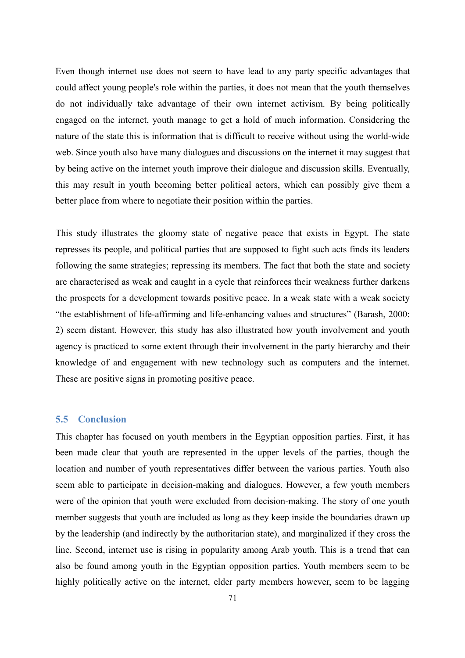Even though internet use does not seem to have lead to any party specific advantages that could affect young people's role within the parties, it does not mean that the youth themselves do not individually take advantage of their own internet activism. By being politically engaged on the internet, youth manage to get a hold of much information. Considering the nature of the state this is information that is difficult to receive without using the world-wide web. Since youth also have many dialogues and discussions on the internet it may suggest that by being active on the internet youth improve their dialogue and discussion skills. Eventually, this may result in youth becoming better political actors, which can possibly give them a better place from where to negotiate their position within the parties.

This study illustrates the gloomy state of negative peace that exists in Egypt. The state represses its people, and political parties that are supposed to fight such acts finds its leaders following the same strategies; repressing its members. The fact that both the state and society are characterised as weak and caught in a cycle that reinforces their weakness further darkens the prospects for a development towards positive peace. In a weak state with a weak society "the establishment of life-affirming and life-enhancing values and structures" (Barash, 2000: 2) seem distant. However, this study has also illustrated how youth involvement and youth agency is practiced to some extent through their involvement in the party hierarchy and their knowledge of and engagement with new technology such as computers and the internet. These are positive signs in promoting positive peace.

## **5.5 Conclusion**

This chapter has focused on youth members in the Egyptian opposition parties. First, it has been made clear that youth are represented in the upper levels of the parties, though the location and number of youth representatives differ between the various parties. Youth also seem able to participate in decision-making and dialogues. However, a few youth members were of the opinion that youth were excluded from decision-making. The story of one youth member suggests that youth are included as long as they keep inside the boundaries drawn up by the leadership (and indirectly by the authoritarian state), and marginalized if they cross the line. Second, internet use is rising in popularity among Arab youth. This is a trend that can also be found among youth in the Egyptian opposition parties. Youth members seem to be highly politically active on the internet, elder party members however, seem to be lagging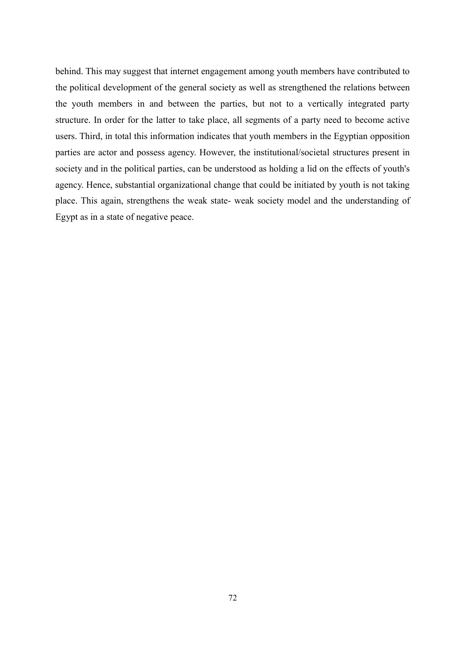behind. This may suggest that internet engagement among youth members have contributed to the political development of the general society as well as strengthened the relations between the youth members in and between the parties, but not to a vertically integrated party structure. In order for the latter to take place, all segments of a party need to become active users. Third, in total this information indicates that youth members in the Egyptian opposition parties are actor and possess agency. However, the institutional/societal structures present in society and in the political parties, can be understood as holding a lid on the effects of youth's agency. Hence, substantial organizational change that could be initiated by youth is not taking place. This again, strengthens the weak state- weak society model and the understanding of Egypt as in a state of negative peace.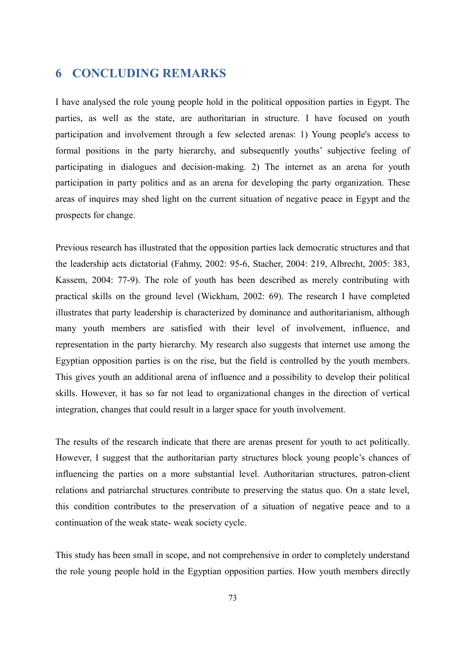# **6 CONCLUDING REMARKS**

I have analysed the role young people hold in the political opposition parties in Egypt. The parties, as well as the state, are authoritarian in structure. I have focused on youth participation and involvement through a few selected arenas: 1) Young people's access to formal positions in the party hierarchy, and subsequently youths' subjective feeling of participating in dialogues and decision-making. 2) The internet as an arena for youth participation in party politics and as an arena for developing the party organization. These areas of inquires may shed light on the current situation of negative peace in Egypt and the prospects for change.

Previous research has illustrated that the opposition parties lack democratic structures and that the leadership acts dictatorial (Fahmy, 2002: 95-6, Stacher, 2004: 219, Albrecht, 2005: 383, Kassem, 2004: 77-9). The role of youth has been described as merely contributing with practical skills on the ground level (Wickham, 2002: 69). The research I have completed illustrates that party leadership is characterized by dominance and authoritarianism, although many youth members are satisfied with their level of involvement, influence, and representation in the party hierarchy. My research also suggests that internet use among the Egyptian opposition parties is on the rise, but the field is controlled by the youth members. This gives youth an additional arena of influence and a possibility to develop their political skills. However, it has so far not lead to organizational changes in the direction of vertical integration, changes that could result in a larger space for youth involvement.

The results of the research indicate that there are arenas present for youth to act politically. However, I suggest that the authoritarian party structures block young people's chances of influencing the parties on a more substantial level. Authoritarian structures, patron-client relations and patriarchal structures contribute to preserving the status quo. On a state level, this condition contributes to the preservation of a situation of negative peace and to a continuation of the weak state- weak society cycle.

This study has been small in scope, and not comprehensive in order to completely understand the role young people hold in the Egyptian opposition parties. How youth members directly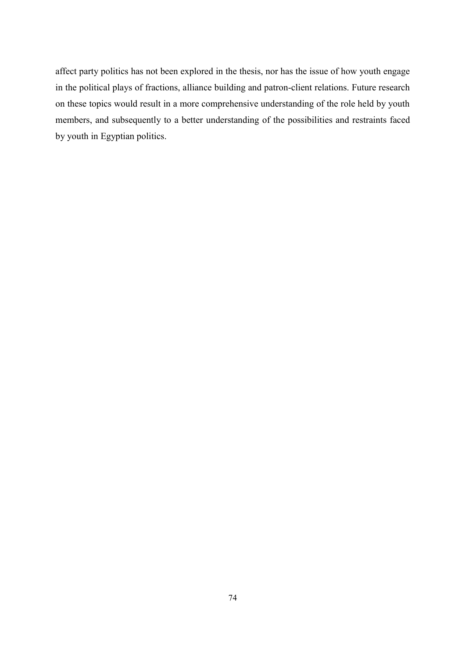affect party politics has not been explored in the thesis, nor has the issue of how youth engage in the political plays of fractions, alliance building and patron-client relations. Future research on these topics would result in a more comprehensive understanding of the role held by youth members, and subsequently to a better understanding of the possibilities and restraints faced by youth in Egyptian politics.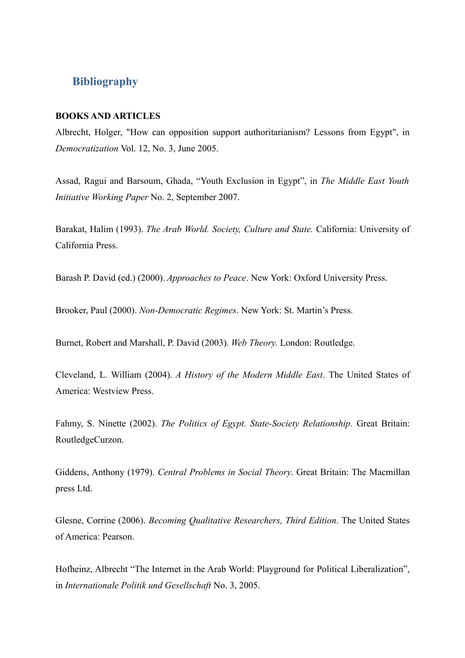## **Bibliography**

#### **BOOKS AND ARTICLES**

Albrecht, Holger, "How can opposition support authoritarianism? Lessons from Egypt", in *Democratization* Vol. 12, No. 3, June 2005.

Assad, Ragui and Barsoum, Ghada, "Youth Exclusion in Egypt", in *The Middle East Youth Initiative Working Paper* No. 2, September 2007.

Barakat, Halim (1993). *The Arab World. Society, Culture and State.* California: University of California Press.

Barash P. David (ed.) (2000). *Approaches to Peace*. New York: Oxford University Press.

Brooker, Paul (2000). *Non-Democratic Regimes*. New York: St. Martin's Press.

Burnet, Robert and Marshall, P. David (2003). *Web Theory*. London: Routledge.

Cleveland, L. William (2004). *A History of the Modern Middle East*. The United States of America: Westview Press.

Fahmy, S. Ninette (2002). *The Politics of Egypt. State-Society Relationship*. Great Britain: RoutledgeCurzon.

Giddens, Anthony (1979). *Central Problems in Social Theory*. Great Britain: The Macmillan press Ltd.

Glesne, Corrine (2006). *Becoming Qualitative Researchers, Third Edition*. The United States of America: Pearson.

Hofheinz, Albrecht "The Internet in the Arab World: Playground for Political Liberalization", in *Internationale Politik und Gesellschaft* No. 3, 2005.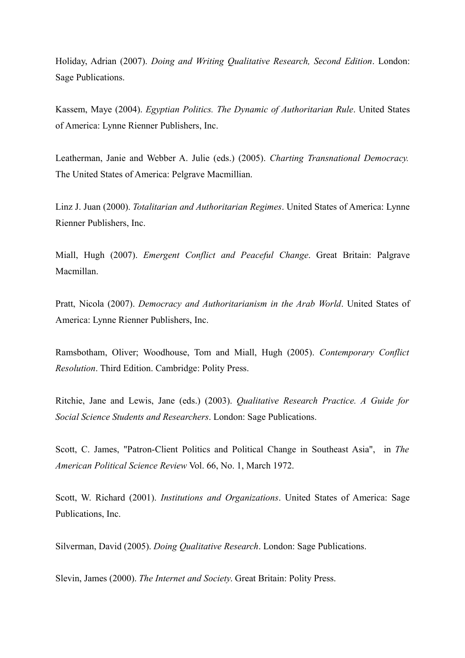Holiday, Adrian (2007). *Doing and Writing Qualitative Research, Second Edition*. London: Sage Publications.

Kassem, Maye (2004). *Egyptian Politics. The Dynamic of Authoritarian Rule*. United States of America: Lynne Rienner Publishers, Inc.

Leatherman, Janie and Webber A. Julie (eds.) (2005). *Charting Transnational Democracy.* The United States of America: Pelgrave Macmillian.

Linz J. Juan (2000). *Totalitarian and Authoritarian Regimes*. United States of America: Lynne Rienner Publishers, Inc.

Miall, Hugh (2007). *Emergent Conflict and Peaceful Change*. Great Britain: Palgrave Macmillan.

Pratt, Nicola (2007). *Democracy and Authoritarianism in the Arab World*. United States of America: Lynne Rienner Publishers, Inc.

Ramsbotham, Oliver; Woodhouse, Tom and Miall, Hugh (2005). *Contemporary Conflict Resolution*. Third Edition. Cambridge: Polity Press.

Ritchie, Jane and Lewis, Jane (eds.) (2003). *Qualitative Research Practice. A Guide for Social Science Students and Researchers*. London: Sage Publications.

Scott, C. James, "Patron-Client Politics and Political Change in Southeast Asia", in *The American Political Science Review* Vol. 66, No. 1, March 1972.

Scott, W. Richard (2001). *Institutions and Organizations*. United States of America: Sage Publications, Inc.

Silverman, David (2005). *Doing Qualitative Research*. London: Sage Publications.

Slevin, James (2000). *The Internet and Society*. Great Britain: Polity Press.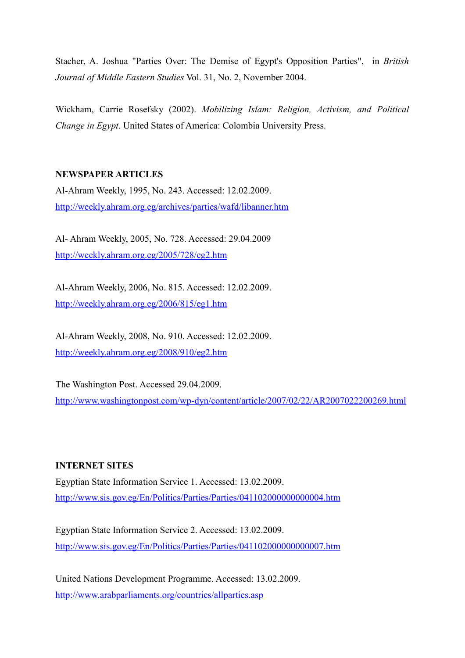Stacher, A. Joshua "Parties Over: The Demise of Egypt's Opposition Parties", in *British Journal of Middle Eastern Studies* Vol. 31, No. 2, November 2004.

Wickham, Carrie Rosefsky (2002). *Mobilizing Islam: Religion, Activism, and Political Change in Egypt*. United States of America: Colombia University Press.

#### **NEWSPAPER ARTICLES**

Al-Ahram Weekly, 1995, No. 243. Accessed: 12.02.2009. <http://weekly.ahram.org.eg/archives/parties/wafd/libanner.htm>

Al- Ahram Weekly, 2005, No. 728. Accessed: 29.04.2009 <http://weekly.ahram.org.eg/2005/728/eg2.htm>

Al-Ahram Weekly, 2006, No. 815. Accessed: 12.02.2009. <http://weekly.ahram.org.eg/2006/815/eg1.htm>

Al-Ahram Weekly, 2008, No. 910. Accessed: 12.02.2009. <http://weekly.ahram.org.eg/2008/910/eg2.htm>

The Washington Post. Accessed 29.04.2009. <http://www.washingtonpost.com/wp-dyn/content/article/2007/02/22/AR2007022200269.html>

#### **INTERNET SITES**

Egyptian State Information Service 1. Accessed: 13.02.2009. <http://www.sis.gov.eg/En/Politics/Parties/Parties/041102000000000004.htm>

Egyptian State Information Service 2. Accessed: 13.02.2009. <http://www.sis.gov.eg/En/Politics/Parties/Parties/041102000000000007.htm>

United Nations Development Programme. Accessed: 13.02.2009. <http://www.arabparliaments.org/countries/allparties.asp>